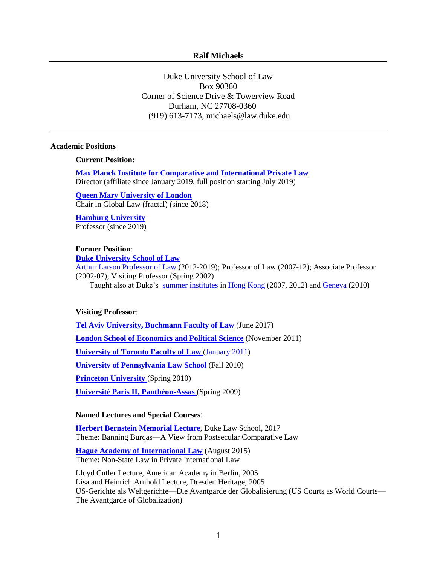## **Ralf Michaels**

Duke University School of Law Box 90360 Corner of Science Drive & Towerview Road Durham, NC 27708-0360 (919) 613-7173, michaels@law.duke.edu

### **Academic Positions**

**Current Position:**

**[Max Planck Institute for Comparative and International Private Law](https://www.mpipriv.de/en/pub/news.cfm)** Director (affiliate since January 2019, full position starting July 2019)

**[Queen Mary University of London](https://qmul.ac.uk/)** Chair in Global Law (fractal) (since 2018)

**[Hamburg University](https://www.uni-hamburg.de/)** Professor (since 2019)

# **Former Position**:

**[Duke University School of Law](http://www.law.duke.edu/)**

[Arthur Larson Professor of Law](http://www.law.duke.edu/fac/michaels/) (2012-2019); Professor of Law (2007-12); Associate Professor (2002-07); Visiting Professor (Spring 2002)

Taught also at Duke's [summer institutes](http://www.law.duke.edu/internat/institutes/index) i[n Hong Kong](http://www.law.duke.edu/internat/asia/index) (2007, 2012) and [Geneva](http://www.law.duke.edu/internat/europe/) (2010)

### **Visiting Professor**:

**[Tel Aviv University, Buchmann Faculty of Law](https://en-law.tau.ac.il/)** (June 2017) **[London School of Economics and Political Science](http://www.lse.ac.uk/collections/law/)** (November 2011) **[University of Toronto Faculty of Law](http://www.law.utoronto.ca/)** [\(January 2011\)](http://www.law.utoronto.ca/faculty-staff/distinguished-visitors/archives/faculty-distinguished-visiting-faculty-2010-2011) **[University of Pennsylvania Law School](http://www.law.upenn.edu/)** (Fall 2010) **[Princeton University](http://www.princeton.edu/)** (Spring 2010) **[Université Paris II, Panthéon-Assas](http://www.u-paris2.fr/)** (Spring 2009)

### **Named Lectures and Special Courses**:

**[Herbert Bernstein Memorial Lecture](https://law.duke.edu/bernsteinlecture/)**, Duke Law School, 2017 Theme: Banning Burqas—A View from Postsecular Comparative Law

**[Hague Academy of International Law](https://www.hagueacademy.nl/summer-programme/private-international-law/)** (August 2015) Theme: Non-State Law in Private International Law

Lloyd Cutler Lecture, American Academy in Berlin, 2005 Lisa and Heinrich Arnhold Lecture, Dresden Heritage, 2005 US-Gerichte als Weltgerichte—Die Avantgarde der Globalisierung (US Courts as World Courts— The Avantgarde of Globalization)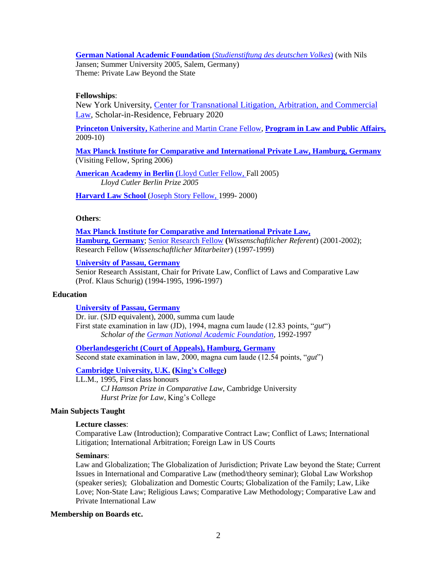**[German National Academic Foundation](http://www.studienstiftung.org/)** (*Studienstiftung des deutschen Volkes*) (with Nils

Jansen; Summer University 2005, Salem, Germany) Theme: Private Law Beyond the State

# **Fellowships**:

New York University, [Center for Transnational Litigation, Arbitration, and Commercial](http://www.law.nyu.edu/centers/transnational)  [Law,](http://www.law.nyu.edu/centers/transnational) Scholar-in-Residence, February 2020

**[Princeton University,](http://www.princeton.edu/)** [Katherine and Martin Crane Fellow,](https://lapa.princeton.edu/peopledetail.php?ID=614) **[Program in Law and Public Affairs,](http://lapa.princeton.edu/)**  2009-10)

**Max Planck Institute for Comparative [and International Private Law, Hamburg, Germany](http://www.mpipriv.de/)** (Visiting Fellow, Spring 2006)

**[American Academy in Berlin](http://www.americanacademy.de/) (**[Lloyd Cutler Fellow,](http://www.americanacademy.de/home/fellows/alumni/person/ralf_michaels/78/detail/) Fall 2005) *Lloyd Cutler Berlin Prize 2005*

**[Harvard Law School](http://www.law.harvard.edu/)** [\(Joseph Story Fellow,](http://www.law.harvard.edu/academics/fellowships/story.php) 1999- 2000)

# **Others**:

**[Max Planck Institute for Comparative and International Private Law,](http://www.mpipriv.de/) [Hamburg, Germany](http://www.mpipriv.de/)**; [Senior Research Fellow](http://www.mpipriv.de/ww/en/pub/staff/michaels_ralf.cfm) **(***Wissenschaftlicher Referent*) (2001-2002); Research Fellow (*Wissenschaftlicher Mitarbeiter*) (1997-1999)

# **[University of Passau, Germany](http://www.jura.uni-passau.de/)**

Senior Research Assistant, Chair for Private Law, Conflict of Laws and Comparative Law (Prof. Klaus Schurig) (1994-1995, 1996-1997)

## **Education**

**[University of Passau, Germany](http://www.jura.uni-passau.de/)**

Dr. iur. (SJD equivalent), 2000, summa cum laude First state examination in law (JD), 1994, magna cum laude (12.83 points, "*gut*") *Scholar of the [German National Academic Foundation](http://www.studienstiftung.org/)*, 1992-1997

**[Oberlandesgericht \(Court of Appeals\), Hamburg, Germany](http://www.hamburg.de/referendariat/)** Second state examination in law, 2000, magna cum laude (12.54 points, "*gut*")

**[Cambridge University, U.K.](http://www.law.cam.ac.uk/) [\(King's College\)](http://www.kings.cam.ac.uk/)**

LL.M., 1995, First class honours *CJ Hamson Prize in Comparative Law*, Cambridge University *Hurst Prize for Law*, King's College

# **Main Subjects Taught**

### **Lecture classes**:

Comparative Law (Introduction); Comparative Contract Law; Conflict of Laws; International Litigation; International Arbitration; Foreign Law in US Courts

#### **Seminars**:

Law and Globalization; The Globalization of Jurisdiction; Private Law beyond the State; Current Issues in International and Comparative Law (method/theory seminar); Global Law Workshop (speaker series); Globalization and Domestic Courts; Globalization of the Family; Law, Like Love; Non-State Law; Religious Laws; Comparative Law Methodology; Comparative Law and Private International Law

### **Membership on Boards etc.**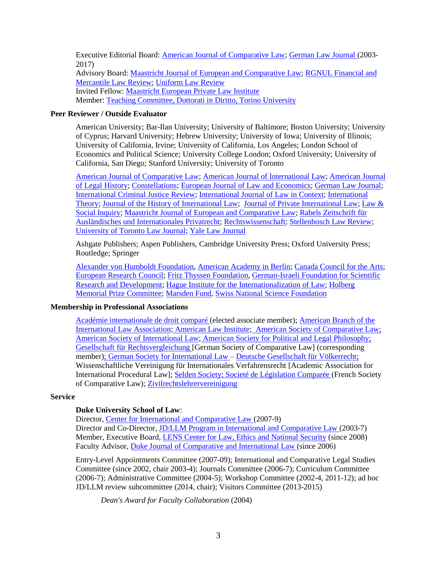Executive Editorial Board: [American Journal of Comparative Law;](http://comparativelaw.metapress.com/home/main.mpx) [German Law](/Users/michaels/Documents/German%20Law%20Journal) Journal (2003- 2017) Advisory Board: [Maastricht Journal of European and Comparative Law;](http://www.maastrichtjournal.eu/) [RGNUL Financial and](http://rfmlawreview.org/)  [Mercantile Law Review;](http://rfmlawreview.org/) [Uniform Law Review](http://www.oxfordjournals.org/our_journals/ulr/) Invited Fellow: [Maastricht European Private Law Institute](http://www.maastrichtuniversity.nl/web/Institutes/MEPLI.htm) Member: [Teaching Committee, Dottorati in Diritto, Torino University](http://dott-diritto.campusnet.unito.it/do/home.pl)

## **Peer Reviewer / Outside Evaluator**

American University; Bar-Ilan University; University of Baltimore; Boston University; University of Cyprus; Harvard University; Hebrew University; University of Iowa; University of Illinois; University of California*,* Irvine; University of California, Los Angeles; London School of Economics and Political Science; University College London; Oxford University; University of California, San Diego; Stanford University; University of Toronto

[American Journal of Comparative Law;](http://comparativelaw.metapress.com/home/main.mpx) [American Journal of International Law;](https://www.cambridge.org/core/journals/american-journal-of-international-law) [American Journal](https://global.oup.com/academic/product/american-journal-of-legal-history-2161797X?cc=us&lang=en&)  [of Legal History;](https://global.oup.com/academic/product/american-journal-of-legal-history-2161797X?cc=us&lang=en&) [Constellations;](http://www.constellationsjournal.org/) [European Journal of Law and Economics;](http://www.springer.com/economics/law+%26+economics/journal/10657) [German Law Journal;](http://www.germanlawjournal.com/) [International Criminal Justice Review;](http://icj.sagepub.com/) [International Journal of Law in Context;](https://www.cambridge.org/core/journals/international-journal-of-law-in-context) [International](http://journals.cambridge.org/action/displayJournal?jid=int)  [Theory;](http://journals.cambridge.org/action/displayJournal?jid=int) [Journal of the History of International Law;](https://brill.com/view/journals/jhil/jhil-overview.xml) [Journal of Private International Law;](http://www.hartjournals.co.uk/JPrivIntL/) [Law &](http://www.americanbarfoundation.org/publications/lawsocialinquiry.html)  [Social Inquiry;](http://www.americanbarfoundation.org/publications/lawsocialinquiry.html) [Maastricht Journal of European and Comparative Law;](http://www.maastrichtjournal.eu/) [Rabels Zeitschrift für](http://www.mohr.de/zeitschriften/rechtswissenschaft/rabels-zeitschrift-fuer-auslaendisches-und-internationales-privatrecht-rabelsz/zeitschrift.html)  [Ausländisches und Internationales Privatrecht;](http://www.mohr.de/zeitschriften/rechtswissenschaft/rabels-zeitschrift-fuer-auslaendisches-und-internationales-privatrecht-rabelsz/zeitschrift.html) [Rechtswissenschaft;](http://www.rechtswissenschaft.nomos.de/) [Stellenbosch Law Review;](https://jutalaw.co.za/products/3603-stellenbosch-law-review) [University of Toronto Law Journal;](http://www.utpjournals.com/University-of-Toronto-Law-Journal.html) [Yale Law Journal](https://www.yalelawjournal.org/)

Ashgate Publishers; Aspen Publishers, Cambridge University Press; Oxford University Press; Routledge; Springer

[Alexander von Humboldt Foundation,](https://www.humboldt-foundation.de/) [American Academy in Berlin;](http://www.americanacademy.de/) [Canada Council for the Arts;](http://canadacouncil.ca/) [European Research Council;](https://erc.europa.eu/) [Fritz Thyssen Foundation,](http://www.fritz-thyssen-stiftung.de/) [German-Israeli Foundation for Scientific](http://www.gif.org.il/)  [Research and Development;](http://www.gif.org.il/) [Hague Institute for the Internationalization of Law;](http://www.hiil.org/) [Holberg](http://www.holbergprisen.no/)  [Memorial Prize Committee;](http://www.holbergprisen.no/) [Marsden Fund,](http://www.royalsociety.org.nz/programmes/funds/marsden/) [Swiss National Science Foundation](http://www.snf.ch/)

### **Membership in Professional Associations**

[Académie internationale de droit comparé \(](/Users/michaels/Documents/Académie%20internationale%20de%20droit%20comparé)elected associate member); [American Branch of the](http://www.ambranch.org/)  [International Law Association;](http://www.ambranch.org/) [American Law Institute;](http://www.ali.org/) [American Society of Comparative Law;](http://www.comparativelaw.org/) [American Society of International Law;](http://www.asil.org/) [American Society for Political and Legal Philosophy;](http://www.political-theory.org/asplp.html) [Gesellschaft für Rechtsvergleichung](http://www.gfr.jura.uni-bayreuth.de/de/organisation/) [German Society of Comparative Law] (corresponding member); [German Society for International Law –](http://www.dgvr.de/en/eindex.htm) [Deutsche Gesellschaft für Völkerrecht;](http://www.dgvr.de/) Wissenschaftliche Vereinigung für Internationales Verfahrensrecht [Academic Association for International Procedural Law]; [Selden Society;](http://www.law.harvard.edu/programs/selden_society/main.html) [Societé de Législation Comparée \(](http://www.legiscompare.com/)French Society of Comparative Law); [Zivilrechtslehrervereinigung](http://www.zlv-info.de/)

### **Service**

### **Duke University School of Law**:

Director, [Center for International and Comparative Law \(](http://www.law.duke.edu/cicl)2007-9) Director and Co-Director, [JD/LLM Program in International and Comparative Law \(](http://www.law.duke.edu/internat/comparative)2003-7) Member, Executive Board, [LENS Center for Law, Ethics and National Security](http://www.law.duke.edu/lens) (since 2008) Faculty Advisor, [Duke Journal of Comparative and International Law \(](http://www.law.duke.edu/journals/djcil/)since 2006)

Entry-Level Appointments Committee (2007-09); International and Comparative Legal Studies Committee (since 2002, chair 2003-4); Journals Committee (2006-7); Curriculum Committee (2006-7); Administrative Committee (2004-5); Workshop Committee (2002-4, 2011-12); ad hoc JD/LLM review subcommittee (2014, chair); Visitors Committee (2013-2015)

*Dean's Award for Faculty Collaboration* (2004)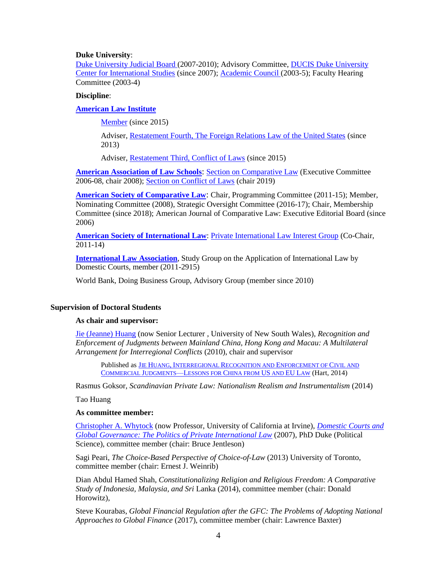## **Duke University**:

[Duke University Judicial Board \(](http://judicial.studentaffairs.duke.edu/resources/univ_jud_bd/univ_jud_bd_more.html)2007-2010); Advisory Committee, [DUCIS Duke University](http://ducis.jhfc.duke.edu/)  [Center for International Studies](http://ducis.jhfc.duke.edu/) (since 2007); [Academic Council \(](http://academiccouncil.duke.edu/)2003-5); Faculty Hearing Committee (2003-4)

## **Discipline**:

# **[American Law Institute](http://www.ali.org/)**

[Member](https://www.ali.org/members/member/254568/) (since 2015)

Adviser, [Restatement Fourth, The Foreign Relations Law of the United States](http://www.ali.org/index.cfm?fuseaction=projects.proj_ip&projectid=28) (since 2013)

Adviser, [Restatement Third, Conflict of Laws](http://www.ali.org/index.cfm?fuseaction=projects.proj_ip&projectid=33) (since 2015)

**[American Association of Law Schools](http://www.aals.org/): [Section on Comparative Law](https://memberaccess.aals.org/eWeb/dynamicpage.aspx?webcode=ChpDetail&chp_cst_key=b1677411-9d7d-4ea2-a1fe-34a8cea35056) (Executive Committee)** 2006-08, chair 2008); [Section on Conflict of Laws](https://memberaccess.aals.org/eWeb/dynamicpage.aspx?webcode=ChpDetail&chp_cst_key=6f59fb1f-b1a1-488a-bd97-2f39ad524d09) (chair 2019)

**[American Society of Comparative Law](http://www.comparativelaw.org/)**: Chair, Programming Committee (2011-15); Member, Nominating Committee (2008), Strategic Oversight Committee (2016-17); Chair, Membership Committee (since 2018); American Journal of Comparative Law: Executive Editorial Board (since 2006)

**[American Society of International](http://www.asil.org/) Law**: [Private International Law Interest Group](http://www.asil.org/interest-groups-view.cfm?groupid=29) (Co-Chair, 2011-14)

**[International Law Association](http://www.ila-hq.org/)**, Study Group on the Application of International Law by Domestic Courts, member (2011-2915)

World Bank, Doing Business Group, Advisory Group (member since 2010)

# **Supervision of Doctoral Students**

### **As chair and supervisor:**

[Jie \(Jeanne\) Huang](http://www.law.unsw.edu.au/profile/jie-jeanne-huang) (now Senior Lecturer , University of New South Wales), *Recognition and Enforcement of Judgments between Mainland China, Hong Kong and Macau: A Multilateral Arrangement for Interregional Conflicts* (2010), chair and supervisor

Published as JIE HUANG, INTERREGIONAL R[ECOGNITION AND](http://www.hartpub.co.uk/BookDetails.aspx?ISBN=9781849464345) ENFORCEMENT OF CIVIL AND C[OMMERCIAL](http://www.hartpub.co.uk/BookDetails.aspx?ISBN=9781849464345) JUDGMENTS—LESSONS FOR CHINA FROM US AND EU LAW (Hart, 2014)

Rasmus Goksor, *Scandinavian Private Law: Nationalism Realism and Instrumentalism* (2014)

Tao Huang

### **As committee member:**

[Christopher A. Whytock](http://www.law.uci.edu/faculty/profile_c_whytock.html) (now Professor, University of California at Irvine), *[Domestic Courts and](http://dukespace.lib.duke.edu/dspace/handle/10161/452)  [Global Governance: The Politics of Private International Law](http://dukespace.lib.duke.edu/dspace/handle/10161/452)* (2007), PhD Duke (Political Science), committee member (chair: Bruce Jentleson)

Sagi Peari, *The Choice-Based Perspective of Choice-of-Law* (2013) University of Toronto, committee member (chair: Ernest J. Weinrib)

Dian Abdul Hamed Shah, *Constitutionalizing Religion and Religious Freedom: A Comparative Study of Indonesia, Malaysia, and Sri* Lanka (2014), committee member (chair: Donald Horowitz),

Steve Kourabas, *Global Financial Regulation after the GFC: The Problems of Adopting National Approaches to Global Finance* (2017), committee member (chair: Lawrence Baxter)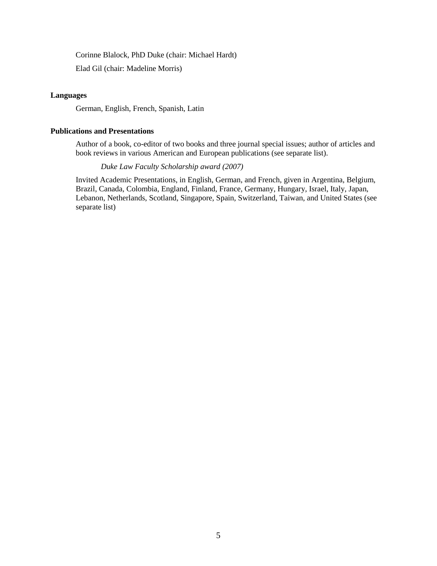Corinne Blalock, PhD Duke (chair: Michael Hardt)

Elad Gil (chair: Madeline Morris)

# **Languages**

German, English, French, Spanish, Latin

# **Publications and Presentations**

Author of a book, co-editor of two books and three journal special issues; author of articles and book reviews in various American and European publications (see separate list).

# *Duke Law Faculty Scholarship award (2007)*

Invited Academic Presentations, in English, German, and French, given in Argentina, Belgium, Brazil, Canada, Colombia, England, Finland, France, Germany, Hungary, Israel, Italy, Japan, Lebanon, Netherlands, Scotland, Singapore, Spain, Switzerland, Taiwan, and United States (see separate list)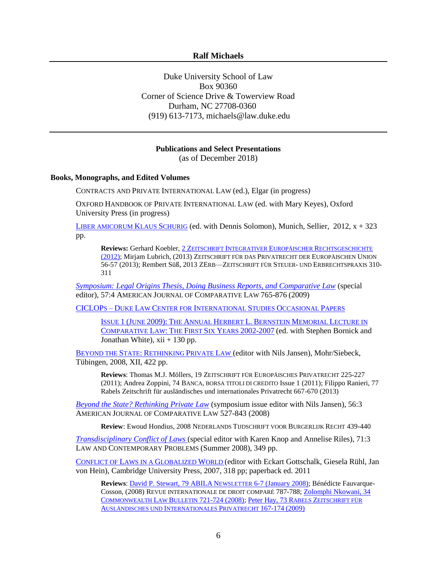# **Ralf Michaels**

Duke University School of Law Box 90360 Corner of Science Drive & Towerview Road Durham, NC 27708-0360 (919) 613-7173, michaels@law.duke.edu

#### **Publications and Select Presentations** (as of December 2018)

#### **Books, Monographs, and Edited Volumes**

CONTRACTS AND PRIVATE INTERNATIONAL LAW (ed.), Elgar (in progress)

OXFORD HANDBOOK OF PRIVATE INTERNATIONAL LAW (ed. with Mary Keyes), Oxford University Press (in progress)

L[IBER AMICORUM](http://www.sellier.de/pages/en/buecher_s_elp/festschriften/913.liber_amicorum_klaus_schurig.htm) KLAUS SCHURIG (ed. with Dennis Solomon), Munich, Sellier,  $2012$ ,  $x + 323$ pp.

**Reviews:** Gerhard Koebler, 2 ZEITSCHRIFT INTEGRATIVER EUROPÄISCHER R[ECHTSGESCHICHTE](http://www.koeblergerhard.de/ZIER-HP/ZIER-HP-02-2012/LiberAmicorumKlausSchurig.htm) [\(2012\);](http://www.koeblergerhard.de/ZIER-HP/ZIER-HP-02-2012/LiberAmicorumKlausSchurig.htm) Mirjam Lubrich, (2013) ZEITSCHRIFT FÜR DAS PRIVATRECHT DER EUROPÄISCHEN UNION 56-57 (2013); Rembert Süß, 2013 ZERB—ZEITSCHRIFT FÜR STEUER- UND ERBRECHTSPRAXIS 310- 311

*[Symposium: Legal Origins Thesis, Doing Business Reports, and Comparative Law](http://proxy.lib.duke.edu:2264/doi/pdf/10.1146/annurev.lawsocsci.4.110707.172311)* (special editor), 57:4 AMERICAN JOURNAL OF COMPARATIVE LAW 765-876 (2009)

CICLOPS – DUKE LAW CENTER FOR I[NTERNATIONAL](http://www.law.duke.edu/CICL/CICLOPS) STUDIES OCCASIONAL PAPERS

ISSUE 1 (JUNE 2009): THE ANNUAL HERBERT L. BERNSTEIN MEMORIAL L[ECTURE IN](http://eprints.law.duke.edu/1944/1/CICLOPS_full_issue_one.pdf)  C[OMPARATIVE](http://eprints.law.duke.edu/1944/1/CICLOPS_full_issue_one.pdf) LAW: THE FIRST SIX YEARS 2002-2007 (ed. with Stephen Bornick and Jonathan White),  $xii + 130$  pp.

B[EYOND THE](http://www.mohr.de/rechtswissenschaft/fachgebiete/alle-buecher/buch/beyond-the-state-rethinking-private-law.html) STATE: RETHINKING PRIVATE LAW (editor with Nils Jansen), Mohr/Siebeck, Tübingen, 2008, XII, 422 pp.

**Reviews**: Thomas M.J. Möllers, 19 ZEITSCHRIFT FÜR EUROPÄISCHES PRIVATRECHT 225-227 (2011); Andrea Zoppini, 74 BANCA, BORSA TITOLI DI CREDITO Issue 1 (2011); Filippo Ranieri, 77 Rabels Zeitschrift für ausländisches und internationales Privatrecht 667-670 (2013)

*[Beyond the State? Rethinking Private Law](http://comparativelaw.metapress.com/content/w47315627024/?p=cf4580e412d249de8ba24bcb233c7500&pi=1)* (symposium issue editor with Nils Jansen), 56:3 AMERICAN JOURNAL OF COMPARATIVE LAW 527-843 (2008)

**Review**: Ewoud Hondius, 2008 NEDERLANDS TIJDSCHRIFT VOOR BURGERLIJK RECHT 439-440

*[Transdisciplinary Conflict of Laws](http://www.law.duke.edu/journals/lcp/lcptoc71summer2008)* (special editor with Karen Knop and Annelise Riles), 71:3 LAW AND CONTEMPORARY PROBLEMS (Summer 2008), 349 pp.

C[ONFLICT OF](http://www.cambridge.org/catalogue/catalogue.asp?isbn=9780521871303) LAWS IN A GLOBALIZED WORLD (editor with Eckart Gottschalk, Giesela Rühl, Jan von Hein), Cambridge University Press, 2007, 318 pp; paperback ed. 2011

**Reviews**[: David P. Stewart, 79 ABILA](http://www.ambranch.org/Newsletter_archive/ILANews2008-01.pdf) NEWSLETTER 6-7 (January 2008); Bénédicte Fauvarque-Cosson, (2008) REVUE INTERNATIONALE DE DROIT COMPARÉ 787-788; Zolomphi Nkowani, 34 COMMONWEALTH LAW BULLETIN [721-724 \(2008\);](http://www.informaworld.com/smpp/content~content=a901998738~db=all~order=page) [Peter Hay, 73 R](http://www.ingentaconnect.com.proxy.lib.duke.edu/content/mohr/rabelsz/2009/00000073/00000001/art00005)ABELS ZEITSCHRIFT FÜR A[USLÄNDISCHES UND](http://www.ingentaconnect.com.proxy.lib.duke.edu/content/mohr/rabelsz/2009/00000073/00000001/art00005) INTERNATIONALES PRIVATRECHT 167-174 (2009)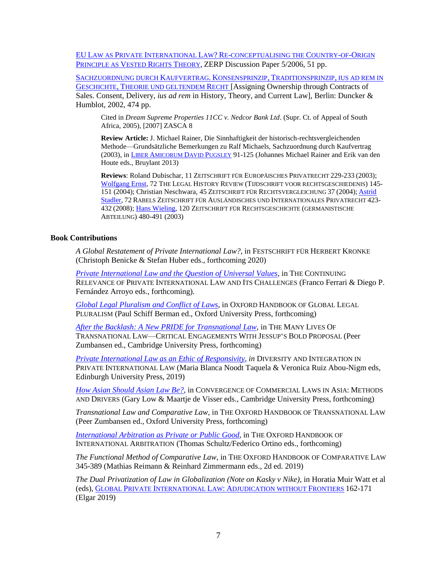EU LAW AS PRIVATE INTERNATIONAL LAW? RE-[CONCEPTUALISING THE](http://www.zerp.uni-bremen.de/english/pdf/dp5_2006.pdf) COUNTRY-OF-ORIGIN P[RINCIPLE AS](http://www.zerp.uni-bremen.de/english/pdf/dp5_2006.pdf) VESTED RIGHTS THEORY, ZERP Discussion Paper 5/2006, 51 pp.

S[ACHZUORDNUNG DURCH](http://www.duncker-humblot.de/default.php?mnu=700&cmd=703&did=31100&clb=31100&ses=bdd385a3f64abb717c04f5723f2b8a26) KAUFVERTRAG. KONSENSPRINZIP, TRADITIONSPRINZIP, IUS AD REM IN GESCHICHTE, T[HEORIE UND GELTENDEM](http://www.duncker-humblot.de/default.php?mnu=700&cmd=703&did=31100&clb=31100&ses=bdd385a3f64abb717c04f5723f2b8a26) RECHT [Assigning Ownership through Contracts of Sales. Consent, Delivery, *ius ad rem* in History, Theory, and Current Law], Berlin: Duncker & Humblot, 2002, 474 pp.

Cited in *Dream Supreme Properties 11CC v. Nedcor Bank Ltd*. (Supr. Ct. of Appeal of South Africa, 2005), [2007] ZASCA 8

**Review Article:** J. Michael Rainer, Die Sinnhaftigkeit der historisch-rechtsvergleichenden Methode—Grundsätzliche Bemerkungen zu Ralf Michaels, Sachzuordnung durch Kaufvertrag (2003), in LIBER A[MICORUM](http://fr.bruylant.larciergroup.com/titres/130603_0_0/liber-amicorum-david-pugsley.html) DAVID PUGSLEY 91-125 (Johannes Michael Rainer and Erik van den Houte eds., Bruylant 2013)

**Reviews**: Roland Dubischar, 11 ZEITSCHRIFT FÜR EUROPÄISCHES PRIVATRECHT 229-233 (2003); [Wolfgang Ernst,](http://booksandjournals.brillonline.com/content/journals/10.1163/157181904323055844) 72 THE LEGAL HISTORY REVIEW (TIJDSCHRIFT VOOR RECHTSGESCHIEDENIS) 145- 151 (2004); Christian Neschwara, 45 ZEITSCHRIFT FÜR RECHTSVERGLEICHUNG 37 (2004); [Astrid](http://www.jstor.org/stable/27878736?seq=1#page_scan_tab_contents)  [Stadler,](http://www.jstor.org/stable/27878736?seq=1#page_scan_tab_contents) 72 RABELS ZEITSCHRIFT FÜR AUSLÄNDISCHES UND INTERNATIONALES PRIVATRECHT 423- 432 (2008)[; Hans Wieling,](http://www.degruyter.com/view/j/zrgga.2003.120.issue-1/zrgga.2003.120.1.480/zrgga.2003.120.1.480.xml) 120 ZEITSCHRIFT FÜR RECHTSGESCHICHTE (GERMANISTISCHE ABTEILUNG) 480-491 (2003)

# **Book Contributions**

*A Global Restatement of Private International Law?*, in FESTSCHRIFT FÜR HERBERT KRONKE (Christoph Benicke & Stefan Huber eds., forthcoming 2020)

*[Private International Law and the Question of Universal Values](https://papers.ssrn.com/sol3/papers.cfm?abstract_id=3384877)*, in THE CONTINUING RELEVANCE OF PRIVATE INTERNATIONAL LAW AND ITS CHALLENGES (Franco Ferrari & Diego P. Fernández Arroyo eds., forthcoming)*.*

*[Global Legal Pluralism and Conflict of Laws](https://papers.ssrn.com/sol3/papers.cfm?abstract_id=3388146)*, in OXFORD HANDBOOK OF GLOBAL LEGAL PLURALISM (Paul Schiff Berman ed., Oxford University Press, forthcoming)

*[After the Backlash: A New PRIDE for Transnational Law](https://papers.ssrn.com/sol3/papers.cfm?abstract_id=3370926)*, in THE MANY LIVES OF TRANSNATIONAL LAW—CRITICAL ENGAGEMENTS WITH JESSUP'S BOLD PROPOSAL (Peer Zumbansen ed., Cambridge University Press, forthcoming)

*[Private International Law as an Ethic of Responsivity,](https://ssrn.com/abstract=3251422) in* DIVERSITY AND INTEGRATION IN PRIVATE INTERNATIONAL LAW (Maria Blanca Noodt Taquela & Veronica Ruiz Abou-Nigm eds, Edinburgh University Press, 2019)

*[How Asian Should Asian Law Be?](/Users/michaels/Documents/How%20Asian%20Should%20Asian%20Law%20Be)*, in CONVERGENCE OF COMMERCIAL LAWS IN ASIA: METHODS AND DRIVERS (Gary Low & Maartje de Visser eds., Cambridge University Press, forthcoming)

*Transnational Law and Comparative Law*, in THE OXFORD HANDBOOK OF TRANSNATIONAL LAW (Peer Zumbansen ed., Oxford University Press, forthcoming)

*[International Arbitration as Private or](https://papers.ssrn.com/sol3/papers.cfm?abstract_id=3019557) Public Good*, in THE OXFORD HANDBOOK OF INTERNATIONAL ARBITRATION (Thomas Schultz/Federico Ortino eds., forthcoming)

*The Functional Method of Comparative Law*, in THE OXFORD HANDBOOK OF COMPARATIVE LAW 345-389 (Mathias Reimann & Reinhard Zimmermann eds., 2d ed. 2019)

*The Dual Privatization of Law in Globalization (Note on Kasky v Nike)*, in Horatia Muir Watt et al (eds), GLOBAL PRIVATE INTERNATIONAL LAW: A[DJUDICATION WITHOUT](https://www.e-elgar.com/shop/global-private-international-law) FRONTIERS 162-171 (Elgar 2019)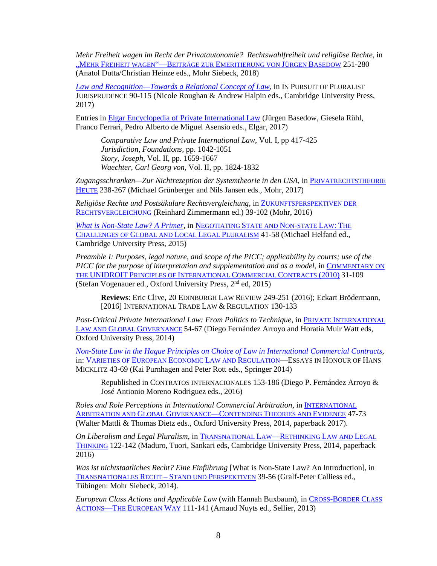*Mehr Freiheit wagen im Recht der Privatautonomie? Rechtswahlfreiheit und religiöse Rechte*, in "MEHR FREIHEIT WAGEN"—BEITRÄGE ZUR E[MERITIERUNG VON](https://www.mohrsiebeck.com/buch/mehr-freiheit-wagen-beitraege-zur-emeritierung-von-juergen-basedow-9783161562075) JÜRGEN BASEDOW 251-280 (Anatol Dutta/Christian Heinze eds., Mohr Siebeck, 2018)

*[Law and Recognition—Towards a Relational Concept of Law](http://scholarship.law.duke.edu/faculty_scholarship/3625/)*, in IN PURSUIT OF PLURALIST JURISPRUDENCE 90-115 (Nicole Roughan & Andrew Halpin eds., Cambridge University Press, 2017)

Entries in [Elgar Encyclopedia of Private International Law](http://www.e-elgar.com/shop/european-encyclopedia-of-private-international-law) (Jürgen Basedow, Giesela Rühl, Franco Ferrari, Pedro Alberto de Miguel Asensio eds., Elgar, 2017)

*Comparative Law and Private International Law*, Vol. I, pp 417-425 *Jurisdiction, Foundations*, pp. 1042-1051 *Story, Joseph*, Vol. II, pp. 1659-1667 *Waechter, Carl Georg von*, Vol. II, pp. 1824-1832

Zugangsschranken—Zur Nichtrezeption der Systemtheorie in den USA, in P[RIVATRECHTSTHEORIE](https://www.mohr.de/buch/zukunftsperspektiven-der-rechtsvergleichung-9783161549496) H[EUTE](https://www.mohr.de/buch/zukunftsperspektiven-der-rechtsvergleichung-9783161549496) 238-267 (Michael Grünberger and Nils Jansen eds., Mohr, 2017)

*Religiöse Rechte und Postsäkulare Rechtsvergleichung*, in Z[UKUNFTSPERSPEKTIVEN](https://www.mohr.de/en/book/zukunftsperspektiven-der-rechtsvergleichung-9783161549496) DER R[ECHTSVERGLEICHUNG](https://www.mohr.de/en/book/zukunftsperspektiven-der-rechtsvergleichung-9783161549496) (Reinhard Zimmermann ed.) 39-102 (Mohr, 2016)

*[What is Non-State Law? A Primer](http://ebooks.cambridge.org/chapter.jsf?bid=CBO9781316018132&cid=CBO9781316018132A009)*, in N[EGOTIATING](http://www.cambridge.org/us/academic/subjects/law/public-international-law/negotiating-state-and-non-state-law-challenge-global-and-local-legal-pluralism) STATE AND NON-STATE LAW: THE C[HALLENGES OF](http://www.cambridge.org/us/academic/subjects/law/public-international-law/negotiating-state-and-non-state-law-challenge-global-and-local-legal-pluralism) GLOBAL AND LOCAL LEGAL PLURALISM 41-58 (Michael Helfand ed., Cambridge University Press, 2015)

*Preamble I: Purposes, legal nature, and scope of the PICC; applicability by courts; use of the PICC for the purpose of interpretation and supplementation and as a model*, in C[OMMENTARY ON](https://global.oup.com/academic/product/commentary-on-the-unidroit-principles-of-international-commercial-contracts-picc-9780198702627?cc=us&lang=en&)  THE UNIDROIT PRINCIPLES OF I[NTERNATIONAL](https://global.oup.com/academic/product/commentary-on-the-unidroit-principles-of-international-commercial-contracts-picc-9780198702627?cc=us&lang=en&) COMMERCIAL CONTRACTS (2010) 31-109 (Stefan Vogenauer ed., Oxford University Press, 2<sup>nd</sup> ed, 2015)

**Reviews**: Eric Clive, 20 EDINBURGH LAW REVIEW 249-251 (2016); Eckart Brödermann, [2016] INTERNATIONAL TRADE LAW & REGULATION 130-133

*Post-Critical Private International Law: From Politics to Technique*, in PRIVATE I[NTERNATIONAL](http://ukcatalogue.oup.com/product/9780198727620.do)  LAW AND GLOBAL G[OVERNANCE](http://ukcatalogue.oup.com/product/9780198727620.do) 54-67 (Diego Fernández Arroyo and Horatia Muir Watt eds, Oxford University Press, 2014)

*[Non-State Law in the Hague Principles on Choice of Law in International Commercial](http://ssrn.com/abstract=2386186) Contracts*, in: V[ARIETIES OF](http://www.springer.com/law/book/978-3-319-04902-1) EUROPEAN ECONOMIC LAW AND REGULATION—ESSAYS IN HONOUR OF HANS MICKLITZ 43-69 (Kai Purnhagen and Peter Rott eds., Springer 2014)

Republished in CONTRATOS INTERNACIONALES 153-186 (Diego P. Fernández Arroyo & José Antionio Moreno Rodriguez eds., 2016)

*Roles and Role Perceptions in International Commercial Arbitration*, in I[NTERNATIONAL](http://ukcatalogue.oup.com/product/9780198716723.do)  A[RBITRATION AND](http://ukcatalogue.oup.com/product/9780198716723.do) GLOBAL GOVERNANCE—CONTENDING THEORIES AND EVIDENCE 47-73 (Walter Mattli & Thomas Dietz eds., Oxford University Press, 2014, paperback 2017).

*On Liberalism and Legal Pluralism*, in T[RANSNATIONAL](http://www.cambridge.org/us/academic/subjects/law/european-law/transnational-law-rethinking-european-law-and-legal-thinking) LAW—RETHINKING LAW AND LEGAL T[HINKING](http://www.cambridge.org/us/academic/subjects/law/european-law/transnational-law-rethinking-european-law-and-legal-thinking) 122-142 (Maduro, Tuori, Sankari eds, Cambridge University Press, 2014, paperback 2016)

*Was ist nichtstaatliches Recht? Eine Einführung* [What is Non-State Law? An Introduction], in T[RANSNATIONALES](http://www.mohr.de/rechtswissenschaft/fachgebiete/alle-buecher/buch/transnationales-recht.html) RECHT – STAND UND PERSPEKTIVEN 39-56 (Gralf-Peter Calliess ed., Tübingen: Mohr Siebeck, 2014).

*European Class Actions and Applicable Law* (with Hannah Buxbaum), in CROSS-B[ORDER](http://www.sellier.de/pages/en/buecher_s_elp/europarecht/937.cross_border_class_actions.htm) CLASS ACTIONS—THE E[UROPEAN](http://www.sellier.de/pages/en/buecher_s_elp/europarecht/937.cross_border_class_actions.htm) WAY 111-141 (Arnaud Nuyts ed., Sellier, 2013)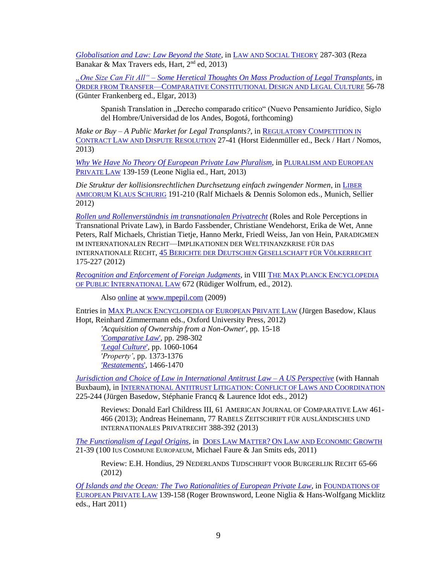*[Globalisation and Law: Law Beyond the State](http://scholarship.law.duke.edu/faculty_scholarship/2862/)*, in L[AW AND](http://www.hartpub.co.uk/BookDetails.aspx?ISBN=9781849463812) SOCIAL THEORY 287-303 (Reza Banakar & Max Travers eds, Hart, 2nd ed, 2013)

*"One Size Can Fit All" – Some Heretical Thoughts On [Mass Production of Legal Transplants](http://ssrn.com/abstract=2191543)*, in ORDER FROM TRANSFER—COMPARATIVE C[ONSTITUTIONAL](http://www.e-elgar.com/bookentry_main.lasso?id=15086) DESIGN AND LEGAL CULTURE 56-78 (Günter Frankenberg ed., Elgar, 2013)

Spanish Translation in "Derecho comparado crítico" (Nuevo Pensamiento Jurídico, Siglo del Hombre/Universidad de los Andes, Bogotá, forthcoming)

*Make or Buy – A Public Market for Legal Transplants?*, in REGULATORY C[OMPETITION IN](http://www.beck-shop.de/Eidenmueller-Ed--Regulatory-Competition-Contract-Law-Dispute-Resolution/productview.aspx?product=9848374&toc=237)  CONTRACT LAW AND DISPUTE R[ESOLUTION](http://www.beck-shop.de/Eidenmueller-Ed--Regulatory-Competition-Contract-Law-Dispute-Resolution/productview.aspx?product=9848374&toc=237) 27-41 (Horst Eidenmüller ed., Beck / Hart / Nomos, 2013)

*[Why We Have No Theory Of European Private Law Pluralism](http://ssrn.com/abstract=2120131)*, in P[LURALISM AND](http://www.hartpub.co.uk/books/details.asp?isbn=9781849463379) EUROPEAN P[RIVATE](http://www.hartpub.co.uk/books/details.asp?isbn=9781849463379) LAW 139-159 (Leone Niglia ed., Hart, 2013)

*Die Struktur der kollisionsrechtlichen Durchsetzung einfach zwingender Normen*, in L[IBER](http://www.sellier.de/pages/de/buecher_s_elp/festschriften/913.liber_amicorum_klaus_schurig.htm)  [AMICORUM](http://www.sellier.de/pages/de/buecher_s_elp/festschriften/913.liber_amicorum_klaus_schurig.htm) KLAUS SCHURIG 191-210 (Ralf Michaels & Dennis Solomon eds., Munich, Sellier 2012)

*[Rollen und Rollenverständnis im transnationalen Privatrecht](http://scholarship.law.duke.edu/faculty_scholarship/2449/)* (Roles and Role Perceptions in Transnational Private Law), in Bardo Fassbender, Christiane Wendehorst, Erika de Wet, Anne Peters, Ralf Michaels, Christian Tietje, Hanno Merkt, Friedl Weiss, Jan von Hein, PARADIGMEN IM INTERNATIONALEN RECHT—IMPLIKATIONEN DER WELTFINANZKRISE FÜR DAS INTERNATIONALE RECHT, 45 BERICHTE DER DEUTSCHEN G[ESELLSCHAFT FÜR](http://www.hjr-verlag.de/Juristische-Wissenschaft/Europarecht-auslaendisches-und-internationales-Recht-Voelkerrecht/Voelkerrecht/Paradigmen-im-internationalen-Recht-Softcover.html) VÖLKERRECHT 175-227 (2012)

*[Recognition and Enforcement of Foreign Judgments](http://scholarship.law.duke.edu/cgi/viewcontent.cgi?article=2699&context=faculty_scholarship)*, in VIII THE MAX PLANCK E[NCYCLOPEDIA](http://ukcatalogue.oup.com/product/9780199291687.do)  OF PUBLIC I[NTERNATIONAL](http://ukcatalogue.oup.com/product/9780199291687.do) LAW 672 (Rüdiger Wolfrum, ed., 2012).

Also [online](http://www.mpepil.com/subscriber_article?script=yes&id=/epil/entries/law-9780199231690-e1848&recno=11&letter=R) at [www.mpepil.com](http://www.mpepil.com/) (2009)

Entries in MAX PLANCK E[NCYCLOPEDIA OF](http://ukcatalogue.oup.com/product/9780199578955.do) EUROPEAN PRIVATE LAW (Jürgen Basedow, Klaus Hopt, Reinhard Zimmermann eds., Oxford University Press, 2012) *'Acquisition of Ownership from a Non-Owner*', pp. 15-18 *['Comparative Law](http://scholarship.law.duke.edu/faculty_scholarship/2388/)*', pp. 298-302 *['Legal Culture](http://scholarship.law.duke.edu/faculty_scholarship/2390/)*', pp. 1060-1064 *'Property'*, pp. 1373-1376

*['Restatements](http://scholarship.law.duke.edu/faculty_scholarship/2389)*', 1466-1470

*[Jurisdiction and Choice of Law](http://ssrn.com/abstract=1974545) in International Antitrust Law – A US Perspective* (with Hannah Buxbaum), in I[NTERNATIONAL](http://www.hartpublishingusa.com/books/details.asp?isbn=9781849460392) ANTITRUST LITIGATION: CONFLICT OF LAWS AND COORDINATION 225-244 (Jürgen Basedow, Stéphanie Francq & Laurence Idot eds., 2012)

Reviews: Donald Earl Childress III, 61 AMERICAN JOURNAL OF COMPARATIVE LAW 461- 466 (2013); Andreas Heinemann, 77 RABELS ZEITSCHRIFT FÜR AUSLÄNDISCHES UND INTERNATIONALES PRIVATRECHT 388-392 (2013)

*[The Functionalism of Legal Origins](http://ssrn.com/abstract=2240928)*, in DOES LAW MATTER? ON LAW AND E[CONOMIC](http://www.intersentia.com/searchDetail.aspx?back=reeks&reeksCode=&bookid=102141&author=Michael%20Faure,%20Jan%20Smits&title=Does%20Law%20Matter?) GROWTH 21-39 (100 IUS COMMUNE EUROPAEUM, Michael Faure & Jan Smits eds, 2011)

Review: E.H. Hondius, 29 NEDERLANDS TIJDSCHRIFT VOOR BURGERLIJK RECHT 65-66 (2012)

*[Of Islands and the Ocean: The Two Rationalities of European Private Law](http://ssrn.com/abstract=1819587)*, in F[OUNDATIONS OF](http://www.hartpub.co.uk/books/details.asp?isbn=9781849460651)  E[UROPEAN](http://www.hartpub.co.uk/books/details.asp?isbn=9781849460651) PRIVATE LAW 139-158 (Roger Brownsword, Leone Niglia & Hans-Wolfgang Micklitz eds., Hart 2011)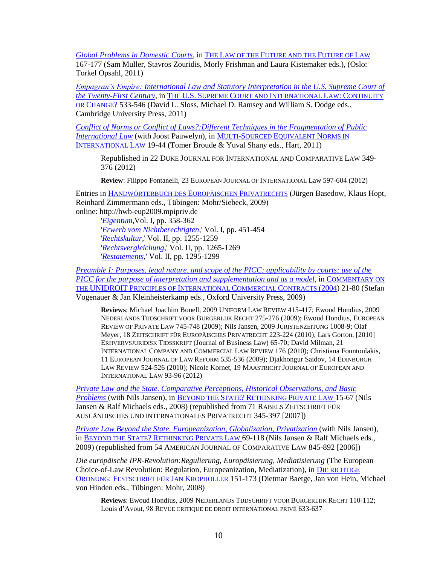*[Global Problems in Domestic Courts](http://scholarship.law.duke.edu/faculty_scholarship/2450/)*, in THE LAW OF THE F[UTURE AND THE](http://www.fichl.org/fileadmin/fichl/documents/FICHL_11_Web.pdf) FUTURE OF LAW 167-177 (Sam Muller, Stavros Zouridis, Morly Frishman and Laura Kistemaker eds.), (Oslo: Torkel Opsahl, 2011)

*[Empagran's Empire: International Law and Statutory Interpretation in the U.S. Supreme Court of](http://ssrn.com/abstract=1609705)  [the Twenty-First Century](http://ssrn.com/abstract=1609705)*, in THE U.S. SUPREME COURT AND I[NTERNATIONAL](http://www.cambridge.org/gb/knowledge/isbn/item6172948/?site_locale=en_US) LAW: CONTINUITY OR C[HANGE](http://www.cambridge.org/gb/knowledge/isbn/item6172948/?site_locale=en_US)? 533-546 (David L. Sloss, Michael D. Ramsey and William S. Dodge eds., Cambridge University Press, 2011)

*[Conflict of Norms or Conflict of Laws?:Different Techniques in the Fragmentation of Public](http://scholarship.law.duke.edu/cgi/viewcontent.cgi?article=1008&context=working_papers)  [International Law](http://scholarship.law.duke.edu/cgi/viewcontent.cgi?article=1008&context=working_papers)* (with Joost Pauwelyn), in MULTI-SOURCED E[QUIVALENT](http://www.bloomsburyprofessional.com/uk/multi-sourced-equivalent-norms-in-international-law-9781849461450/) NORMS IN I[NTERNATIONAL](http://www.bloomsburyprofessional.com/uk/multi-sourced-equivalent-norms-in-international-law-9781849461450/) LAW 19-44 (Tomer Broude & Yuval Shany eds., Hart, 2011)

Republished in 22 DUKE JOURNAL FOR INTERNATIONAL AND COMPARATIVE LAW 349- 376 (2012)

**Review**: Filippo Fontanelli, 23 EUROPEAN JOURNAL OF INTERNATIONAL Law 597-604 (2012)

Entries in H[ANDWÖRTERBUCH DES](http://www.mohr.de/rechtswissenschaft/fachgebiete/alle-buecher/buch/handwoerterbuch-des-europaeischen-privatrechts.html) EUROPÄISCHEN PRIVATRECHTS (Jürgen Basedow, Klaus Hopt, Reinhard Zimmermann eds., Tübingen: Mohr/Siebeck, 2009) online: http://hwb-eup2009.mpipriv.de

'*[Eigentum,](http://hwb-eup2009.mpipriv.de/index.php/Eigentum)*Vol. I, pp. 358-362 '*[Erwerb vom Nichtberechtigten,](http://hwb-eup2009.mpipriv.de/index.php/Erwerb_vom_Nichtberechtigten)*' Vol. I, pp. 451-454 '*[Rechtskultur,](http://hwb-eup2009.mpipriv.de/index.php/Rechtskultur)*' Vol. II, pp. 1255-1259 '*[Rechtsvergleichung,](http://hwb-eup2009.mpipriv.de/index.php/Rechtsvergleichung)*' Vol. II, pp. 1265-1269 '*[Restatements,](http://hwb-eup2009.mpipriv.de/index.php/Restatements)*' Vol. II, pp. 1295-1299

*[Preamble I: Purposes, legal nature, and scope of the PICC; applicability by courts; use of the](http://scholarship.law.duke.edu/cgi/viewcontent.cgi?article=2694&context=faculty_scholarship)  [PICC for the purpose of interpretation](http://scholarship.law.duke.edu/cgi/viewcontent.cgi?article=2694&context=faculty_scholarship) and supplementation and as a model*, in C[OMMENTARY ON](http://www.oup.com/us/catalog/general/subject/Law/ContractandGeneralCommercialLaw/?view=usa&ci=9780199291755)  THE UNIDROIT PRINCIPLES OF I[NTERNATIONAL](http://www.oup.com/us/catalog/general/subject/Law/ContractandGeneralCommercialLaw/?view=usa&ci=9780199291755) COMMERCIAL CONTRACTS (2004) 21-80 (Stefan Vogenauer & Jan Kleinheisterkamp eds., Oxford University Press, 2009)

**Reviews**: Michael Joachim Bonell, 2009 UNIFORM LAW REVIEW 415-417; Ewoud Hondius, 2009 NEDERLANDS TIJDSCHRIFT VOOR BURGERLIJK RECHT 275-276 (2009); Ewoud Hondius, EUROPEAN REVIEW OF PRIVATE LAW 745-748 (2009); Nils Jansen, 2009 JURISTENZEITUNG 1008-9; Olaf Meyer, 18 ZEITSCHRIFT FÜR EUROPÄISCHES PRIVATRECHT 223-224 (2010); Lars Gorton, [2010] ERHVERVSJURIDISK TIDSSKRIFT (Journal of Business Law) 65-70; David Milman, 21 INTERNATIONAL COMPANY AND COMMERCIAL LAW REVIEW 176 (2010); Christiana Fountoulakis, 11 EUROPEAN JOURNAL OF LAW REFORM 535-536 (2009); Djakhongur Saidov, 14 EDINBURGH LAW REVIEW 524-526 (2010); Nicole Kornet, 19 MAASTRICHT JOURNAL OF EUROPEAN AND INTERNATIONAL LAW 93-96 (2012)

*[Private Law and the State. Comparative Perceptions, Historical Observations, and Basic](http://eprints.law.duke.edu/1613/)  [Problems](http://eprints.law.duke.edu/1613/)* (with Nils Jansen), in B[EYOND THE](http://www.mohr.de/rechtswissenschaft/fachgebiete/alle-buecher/buch/beyond-the-state-rethinking-private-law.html) STATE? RETHINKING PRIVATE LAW 15-67 (Nils Jansen & Ralf Michaels eds., 2008) (republished from 71 RABELS ZEITSCHRIFT FÜR AUSLÄNDISCHES UND INTERNATIONALES PRIVATRECHT 345-397 [2007])

*[Private Law Beyond the State. Europeanization, Globalization, Privatization](http://eprints.law.duke.edu/1612/)* (with Nils Jansen), in B[EYOND THE](http://www.mohr.de/rechtswissenschaft/fachgebiete/alle-buecher/buch/beyond-the-state-rethinking-private-law.html) STATE? RETHINKING PRIVATE LAW 69-118 (Nils Jansen & Ralf Michaels eds., 2009) (republished from 54 AMERICAN JOURNAL OF COMPARATIVE LAW 845-892 [2006])

*Die europäische IPR-Revolution:Regulierung, Europäisierung, Mediatisierung* (The European Choice-of-Law Revolution: Regulation, Europeanization, Mediatization), in D[IE RICHTIGE](http://www.mohr.de/en/law/new-books/buch/die-richtige-ordnung.html)  ORDNUNG: F[ESTSCHRIFT FÜR](http://www.mohr.de/en/law/new-books/buch/die-richtige-ordnung.html) JAN KROPHOLLER 151-173 (Dietmar Baetge, Jan von Hein, Michael von Hinden eds., Tübingen: Mohr, 2008)

**Reviews**: Ewoud Hondius, 2009 NEDERLANDS TIJDSCHRIFT VOOR BURGERLIJK RECHT 110-112; Louis d'Avout, 98 REVUE CRITIQUE DE DROIT INTERNATIONAL PRIVÉ 633-637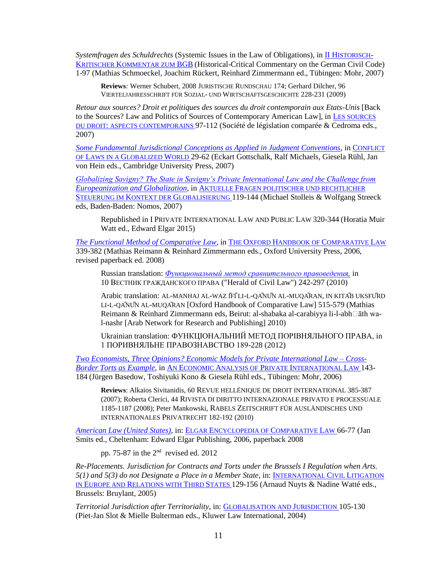*Systemfragen des Schuldrechts* (Systemic Issues in the Law of Obligations), in **II H[ISTORISCH](http://www.mohr.de/en/law/commentaries/buch/historisch-kritischer-kommentar-zum-bgb-1.html)**-KRITISCHER K[OMMENTAR ZUM](http://www.mohr.de/en/law/commentaries/buch/historisch-kritischer-kommentar-zum-bgb-1.html) BGB (Historical-Critical Commentary on the German Civil Code) 1-97 (Mathias Schmoeckel, Joachim Rückert, Reinhard Zimmermann ed., Tübingen: Mohr, 2007)

**Reviews***:* Werner Schubert, 2008 JURISTISCHE RUNDSCHAU 174; Gerhard Dilcher, 96 VIERTELJAHRESSCHRIFT FÜR SOZIAL- UND WIRTSCHAFTSGESCHICHTE 228-231 (2009)

Retour aux sources? Droit et politiques des sources du droit contemporain aux Etats-Unis [Back to the Sources? Law and Politics of Sources of Contemporary American Law], in L[ES SOURCES](http://www.lgdj.fr/essais/21411/sources-droit-aspects-contemporains)  DU DROIT: [ASPECTS CONTEMPORAINS](http://www.lgdj.fr/essais/21411/sources-droit-aspects-contemporains) 97-112 (Société de législation comparée & Cedroma eds., 2007)

*[Some Fundamental Jurisdictional Conceptions as Applied in Judgment Conventions](http://eprints.law.duke.edu/1574/)*, in C[ONFLICT](http://www.cambridge.org/catalogue/catalogue.asp?isbn=9780521871303)  OF LAWS IN A G[LOBALIZED](http://www.cambridge.org/catalogue/catalogue.asp?isbn=9780521871303) WORLD 29-62 (Eckart Gottschalk, Ralf Michaels, Giesela Rühl, Jan von Hein eds., Cambridge University Press, 2007)

*[Globalizing Savigny? The State in Savigny's Private International Law and the Challenge from](http://papers.ssrn.com/sol3/papers.cfm?abstract_id=796228)  [Europeanization and Globalization](http://papers.ssrn.com/sol3/papers.cfm?abstract_id=796228)*, in AKTUELLE F[RAGEN POLITISCHER UND RECHTLICHER](http://www.nomos-shop.de/productview.aspx?product=9273)  STEUERUNG IM KONTEXT DER G[LOBALISIERUNG](http://www.nomos-shop.de/productview.aspx?product=9273) 119-144 (Michael Stolleis & Wolfgang Streeck eds, Baden-Baden: Nomos, 2007)

Republished in I PRIVATE INTERNATIONAL LAW AND PUBLIC LAW 320-344 (Horatia Muir Watt ed., Edward Elgar 2015)

*[The Functional Method of Comparative Law](http://eprints.law.duke.edu/1249/)*, in THE OXFORD HANDBOOK OF C[OMPARATIVE](http://www.us.oup.com/us/catalog/general/subject/Law/ComparativeLawandNationalLegalSy/?view=usa&sf=toc&ci=9780199296064) LAW 339-382 (Mathias Reimann & Reinhard Zimmermann eds., Oxford University Press, 2006, revised paperback ed. 2008)

Russian translation: *[Функциональный метод сравнительного правоведения,](http://www.mvgp.ru/articles/1/166/)* in 10 ВЕСТНИК ГРАЖДАНСКОГО ПРАВА ("Herald of Civil Law") 242-297 (2010)

Arabic translation: AL-MANHAJ AL-WAZ ĪFĪLI-L-QĀNŪN AL-MUQĀRAN, IN KITĀB UKSFŪRD LI-L-QĀNŪN AL-MUQĀRAN [Oxford Handbook of Comparative Law] 515-579 (Mathias Reimann & Reinhard Zimmermann eds, Beirut: al-shabaka al-carabiyya li-l-abh $\Box$ āth wal-nashr [Arab Network for Research and Publishing] 2010)

Ukrainian translation: ФУНКЦІОНАЛЬНИЙ МЕТОД ПОРІВНЯЛЬНОГО ПРАВА, in 1 ПОРИВНЯЛЬНЕ ПРАВОЗНАВСТВО 189-228 (2012)

*[Two Economists, Three Opinions? Economic Models for Private International Law –](http://eprints.law.duke.edu/1234/) Cross-[Border Torts as Example](http://eprints.law.duke.edu/1234/)*, in AN ECONOMIC ANALYSIS OF PRIVATE I[NTERNATIONAL](http://www.mohr.de/en/economics/subject-areas/institutional-economics/buch/an-economic-analysis-of-private-international-law.html) LAW 143- 184 (Jürgen Basedow, Toshiyuki Kono & Giesela Rühl eds., Tübingen: Mohr, 2006)

**Reviews**: Alkaios Sivitanidis, 60 REVUE HELLÉNIQUE DE DROIT INTERNATIONAL 385-387 (2007); Roberta Clerici, 44 RIVISTA DI DIRITTO INTERNAZIONALE PRIVATO E PROCESSUALE 1185-1187 (2008); Peter Mankowski, RABELS ZEITSCHRIFT FÜR AUSLÄNDISCHES UND INTERNATIONALES PRIVATRECHT 182-192 (2010)

*[American Law \(United States\)](http://eprints.law.duke.edu/1280/)*, in: ELGAR E[NCYCLOPEDIA OF](http://www.e-elgar-law.com/bookentry_main.lasso?id=3582) COMPARATIVE LAW 66-77 (Jan Smits ed., Cheltenham: Edward Elgar Publishing, 2006, paperback 2008

pp. 75-87 in the 2nd revised ed. 2012

*Re-Placements. Jurisdiction for Contracts and Torts under the Brussels I Regulation when Arts. 5(1) and 5(3) do not Designate a Place in a Member State*, in: I[NTERNATIONAL](http://www.bruylant.be/st/en/fiche.php?id=12371&PHPSESSID=2fcb539b2a1593436fc19d60b3f5fef2) CIVIL LITIGATION IN EUROPE AND R[ELATIONS WITH](http://www.bruylant.be/st/en/fiche.php?id=12371&PHPSESSID=2fcb539b2a1593436fc19d60b3f5fef2) THIRD STATES 129-156 (Arnaud Nuyts & Nadine Watté eds., Brussels: Bruylant, 2005)

*Territorial Jurisdiction after Territoriality*, in: G[LOBALISATION AND](/Users/michaels/Documents/GLOBALISATION%20AND%20JURISDICTION) JURISDICTION 105-130 (Piet-Jan Slot & Mielle Bulterman eds., Kluwer Law International, 2004)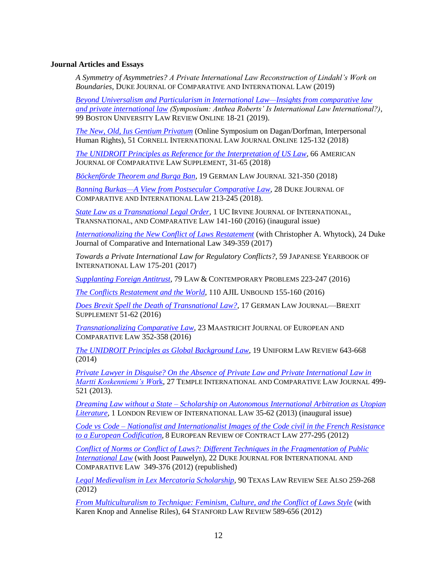# **Journal Articles and Essays**

*A Symmetry of Asymmetries? A Private International Law Reconstruction of Lindahl's Work on Boundaries*, DUKE JOURNAL OF COMPARATIVE AND INTERNATIONAL LAW (2019)

*[Beyond Universalism and Particularism in International Law—Insights from comparative law](http://www.bu.edu/bulawreview/bulronline/michaels/)  [and private international law](http://www.bu.edu/bulawreview/bulronline/michaels/) (Symposium: Anthea Roberts' Is International Law International?)*, 99 BOSTON UNIVERSITY LAW REVIEW ONLINE 18-21 (2019).

*[The New, Old, Ius Gentium Privatum](http://cornellilj.org/wp-content/uploads/2018/10/Michaels-PDF.pdf)* (Online Symposium on Dagan/Dorfman, Interpersonal Human Rights), 51 CORNELL INTERNATIONAL LAW JOURNAL ONLINE 125-132 (2018)

*[The UNIDROIT Principles as Reference for the Interpretation of US Law](https://academic.oup.com/ajcl/article/66/suppl_1/31/5036381)*, 66 AMERICAN JOURNAL OF COMPARATIVE LAW SUPPLEMENT, 31-65 (2018)

*Böckenförde [Theorem and Burqa](http://www.germanlawjournal.com/s/08_Vol_19_No_02_Michaels.pdf) Ban*, 19 GERMAN LAW JOURNAL 321-350 (2018)

*[Banning Burkas—A View from Postsecular Comparative Law](https://djcil.law.duke.edu/article/banning-burqas-michaels-vol28-iss2/)*, 28 DUKE JOURNAL OF COMPARATIVE AND INTERNATIONAL LAW 213-245 (2018).

*[State Law as a Transnational Legal Order](https://scholarship.law.uci.edu/ucijil/vol1/iss1/7)*, 1 UC IRVINE JOURNAL OF INTERNATIONAL, TRANSNATIONAL, AND COMPARATIVE LAW 141-160 (2016) (inaugural issue)

*[Internationalizing the New Conflict of Laws Restatement](http://djcil.law.duke.edu/article/internationalizing-the-new-conflict-of-laws-restatement-michaels-vol27-iss3/)* (with Christopher A. Whytock), 24 Duke Journal of Comparative and International Law 349-359 (2017)

*Towards a Private International Law for Regulatory Conflicts?*, 59 JAPANESE YEARBOOK OF INTERNATIONAL LAW 175-201 (2017)

*[Supplanting Foreign Antitrust](http://scholarship.law.duke.edu/lcp/vol79/iss4/8/)*, 79 LAW & CONTEMPORARY PROBLEMS 223-247 (2016)

*[The Conflicts Restatement and the](https://www.cambridge.org/core/journals/american-journal-of-international-law/article/div-classtitlethe-conflicts-restatement-and-the-worlddiv/495B4F01DD376CDEF3E0630D86DDD0D0) World*, 110 AJIL UNBOUND 155-160 (2016)

*[Does Brexit Spell the Death of Transnational Law?](http://www.germanlawjournal.com/s/11-PDF_Vol_17_Brexit-_Michaels.pdf)*, 17 GERMAN LAW JOURNAL—BREXIT SUPPLEMENT 51-62 (2016)

*[Transnationalizing Comparative Law](http://scholarship.law.duke.edu/faculty_scholarship/3563/)*, 23 MAASTRICHT JOURNAL OF EUROPEAN AND COMPARATIVE LAW 352-358 (2016)

*[The UNIDROIT Principles as Global Background Law,](http://ulr.oxfordjournals.org/cgi/reprint/unu033?ijkey=OYF1ZeMEv5wrWqb&keytype=ref)* 19 UNIFORM LAW REVIEW 643-668 (2014)

*[Private Lawyer in Disguise? On the Absence of Private Law and Private International Law in](http://www.temple.edu/law/ticlj/fall2013/Michaels_PrivateLawyerinDisguise.pdf)  [Martti Koskenniemi's W](http://www.temple.edu/law/ticlj/fall2013/Michaels_PrivateLawyerinDisguise.pdf)*ork, 27 TEMPLE INTERNATIONAL AND COMPARATIVE LAW JOURNAL 499- 521 (2013).

*Dreaming Law without a State – [Scholarship on Autonomous International Arbitration](http://lril.oxfordjournals.org/content/1/1/35.full.pdf+html) as Utopian [Literature](http://lril.oxfordjournals.org/content/1/1/35.full.pdf+html)*, 1 LONDON REVIEW OF INTERNATIONAL LAW 35-62 (2013) (inaugural issue)

*Code vs Code – [Nationalist and Internationalist Images of the Code civil in the French Resistance](http://papers.ssrn.com/sol3/papers.cfm?abstract_id=2065325)  [to a European Codification](http://papers.ssrn.com/sol3/papers.cfm?abstract_id=2065325)*, 8 EUROPEAN REVIEW OF CONTRACT LAW 277-295 (2012)

*Conflict of Norms or Conflict of Laws?: [Different Techniques in the Fragmentation of Public](http://scholarship.law.duke.edu/djcil/vol22/iss3/3/) [International Law](http://scholarship.law.duke.edu/djcil/vol22/iss3/3/)* (with Joost Pauwelyn), 22 DUKE JOURNAL FOR INTERNATIONAL AND COMPARATIVE LAW 349-376 (2012) (republished)

*[Legal Medievalism in Lex Mercatoria Scholarship](http://www.texaslrev.com/seealso/vol/90/responses/michaels)*, 90 TEXAS LAW REVIEW SEE ALSO 259-268 (2012)

*[From Multiculturalism to Technique: Feminism, Culture, and the Conflict of Laws Style](http://www.stanfordlawreview.org/print/article/multiculturalism-technique)* (with Karen Knop and Annelise Riles), 64 STANFORD LAW REVIEW 589-656 (2012)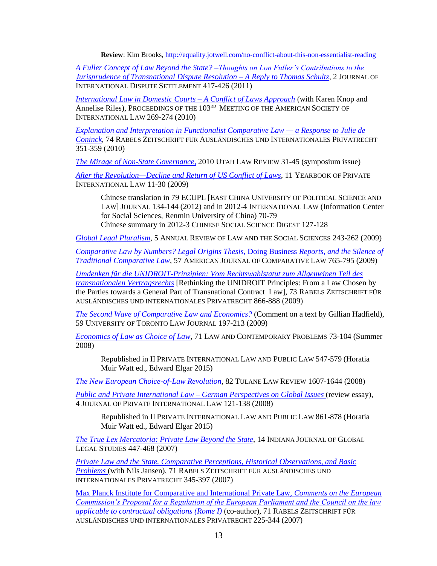**Review**: Kim Brooks,<http://equality.jotwell.com/no-conflict-about-this-non-essentialist-reading>

*[A Fuller Concept of Law Beyond the State? –Thoughts on Lon Fuller's Contributions to the](http://jids.oxfordjournals.org/content/2/2/417.abstract?keytype=ref&%20ijkey=FgwYM990vEFzJ0X) [Jurisprudence of Transnational Dispute Resolution](http://jids.oxfordjournals.org/content/2/2/417.abstract?keytype=ref&%20ijkey=FgwYM990vEFzJ0X) – A Reply to Thomas Schultz*, 2 JOURNAL OF INTERNATIONAL DISPUTE SETTLEMENT 417-426 (2011)

*[International Law in Domestic Courts –](http://www.ssrn.com/abstract=1413189) A Conflict of Laws Approach* (with Karen Knop and Annelise Riles), PROCEEDINGS OF THE 103RD MEETING OF THE AMERICAN SOCIETY OF INTERNATIONAL LAW 269-274 (2010)

*[Explanation and Interpretation in Functionalist Comparative Law —](http://scholarship.law.duke.edu/cgi/viewcontent.cgi?article=2753&context=faculty_scholarship&sei-redir=1&referer=http%3A%2F%2Fwww.google.com%2Furl%3Fsa%3Dt%26rct%3Dj%26q%3Dexplanation%20and%20interpretation%20in%20functionalist%20comparative%20law%26source%3Dweb%26cd%3D1%26ved%3D0CCAQFjAA%26url%3Dhttp%3A%2F%2Fscholarship.law.duke.edu%2Fcgi%2Fviewcontent.cgi%3Farticle%3D2753%26context%3Dfaculty_scholarship%26ei%3D6VPNTpvNK4e9twf5lqBh%26usg%3DAFQjCNE3nYWgFbu-HYF2Y8VkiRyPOHVP8w%26cad%3Drja#search=%22explanation%20interpretation%20functionalist%20comparative%20law%22) a Response to Julie de [Coninck](http://scholarship.law.duke.edu/cgi/viewcontent.cgi?article=2753&context=faculty_scholarship&sei-redir=1&referer=http%3A%2F%2Fwww.google.com%2Furl%3Fsa%3Dt%26rct%3Dj%26q%3Dexplanation%20and%20interpretation%20in%20functionalist%20comparative%20law%26source%3Dweb%26cd%3D1%26ved%3D0CCAQFjAA%26url%3Dhttp%3A%2F%2Fscholarship.law.duke.edu%2Fcgi%2Fviewcontent.cgi%3Farticle%3D2753%26context%3Dfaculty_scholarship%26ei%3D6VPNTpvNK4e9twf5lqBh%26usg%3DAFQjCNE3nYWgFbu-HYF2Y8VkiRyPOHVP8w%26cad%3Drja#search=%22explanation%20interpretation%20functionalist%20comparative%20law%22)*, 74 RABELS ZEITSCHRIFT FÜR AUSLÄNDISCHES UND INTERNATIONALES PRIVATRECHT 351-359 (2010)

*[The Mirage of Non-State Governance](http://epubs.utah.edu/index.php/ulr/article/view/343/281)*, 2010 UTAH LAW REVIEW 31-45 (symposium issue)

*[After the Revolution—Decline and Return of US Conflict of Laws,](http://ssrn.com/abstract=1609673)* 11 YEARBOOK OF PRIVATE INTERNATIONAL LAW 11-30 (2009)

Chinese translation in 79 ECUPL [EAST CHINA UNIVERSITY OF POLITICAL SCIENCE AND LAW] JOURNAL 134-144 (2012) and in 2012-4 INTERNATIONAL LAW (Information Center for Social Sciences, Renmin University of China) 70-79 Chinese summary in 2012-3 CHINESE SOCIAL SCIENCE DIGEST 127-128

*[Global Legal Pluralism](http://arjournals.annualreviews.org/eprint/XZsI8eXP6SJqFhfVAASg/full/10.1146/annurev.lawsocsci.4.110707.172311)*, 5 ANNUAL REVIEW OF LAW AND THE SOCIAL SCIENCES 243-262 (2009)

*[Comparative Law by Numbers? Legal Origins Thesis,](http://comparativelaw.metapress.com/content/02h6641056143p47/?p=f636bd8fd70d418da8c6b0aceb5cc5f2&pi=1)* Doing Business *Reports, and the Silence of [Traditional Comparative Law](http://comparativelaw.metapress.com/content/02h6641056143p47/?p=f636bd8fd70d418da8c6b0aceb5cc5f2&pi=1)*, 57 AMERICAN JOURNAL OF COMPARATIVE LAW 765-795 (2009)

*[Umdenken für die UNIDROIT-Prinzipien: Vom Rechtswahlstatut zum Allgemeinen Teil des](http://www.ingentaconnect.com/content/mohr/rabelsz/2009/00000073/00000004/art00010)  [transnationalen Vertragsrechts](http://www.ingentaconnect.com/content/mohr/rabelsz/2009/00000073/00000004/art00010)* [Rethinking the UNIDROIT Principles: From a Law Chosen by the Parties towards a General Part of Transnational Contract Law], 73 RABELS ZEITSCHRIFT FÜR AUSLÄNDISCHES UND INTERNATIONALES PRIVATRECHT 866-888 (2009)

*[The Second Wave of Comparative Law and Economics?](http://utpjournals.metapress.com/content/h424043x37633g20/?p=667686b9d1df471b8008dbffeea277cc&pi=3)* (Comment on a text by Gillian Hadfield), 59 UNIVERSITY OF TORONTO LAW JOURNAL 197-213 (2009)

*[Economics of Law as Choice of Law](http://www.law.duke.edu/shell/cite.pl?71+Law+&+Contemp.+Probs.+73+(summer+2008))*, 71 LAW AND CONTEMPORARY PROBLEMS 73-104 (Summer 2008)

Republished in II PRIVATE INTERNATIONAL LAW AND PUBLIC LAW 547-579 (Horatia Muir Watt ed., Edward Elgar 2015)

*[The New European Choice-of-Law Revolution](http://eprints.law.duke.edu/1908/1/Michaels_82_Tulane_L._Rev._1607_(2008).pdf)*, 82 TULANE LAW REVIEW 1607-1644 (2008)

*[Public and Private International Law –](http://eprints.law.duke.edu/1821/) German Perspectives on Global Issues* (review essay), 4 JOURNAL OF PRIVATE INTERNATIONAL LAW 121-138 (2008)

Republished in II PRIVATE INTERNATIONAL LAW AND PUBLIC LAW 861-878 (Horatia Muir Watt ed., Edward Elgar 2015)

*[The True Lex Mercatoria: Private Law Beyond the State](http://eprints.law.duke.edu/1822/)*, 14 INDIANA JOURNAL OF GLOBAL LEGAL STUDIES 447-468 (2007)

*[Private Law and the State. Comparative Perceptions, Historical Observations, and Basic](http://eprints.law.duke.edu/1613/)  [Problems](http://eprints.law.duke.edu/1613/)* (with Nils Jansen), 71 RABELS ZEITSCHRIFT FÜR AUSLÄNDISCHES UND INTERNATIONALES PRIVATRECHT 345-397 (2007)

[Max Planck Institute for Comparative and International Private Law,](http://eprints.law.duke.edu/1193/) *Comments on the European [Commission's Proposal for a Regulation of the European Parliament and the Council on the law](http://eprints.law.duke.edu/1193/)  [applicable to contractual obligations \(Rome I\)](http://eprints.law.duke.edu/1193/)* (co-author), 71 RABELS ZEITSCHRIFT FÜR AUSLÄNDISCHES UND INTERNATIONALES PRIVATRECHT 225-344 (2007)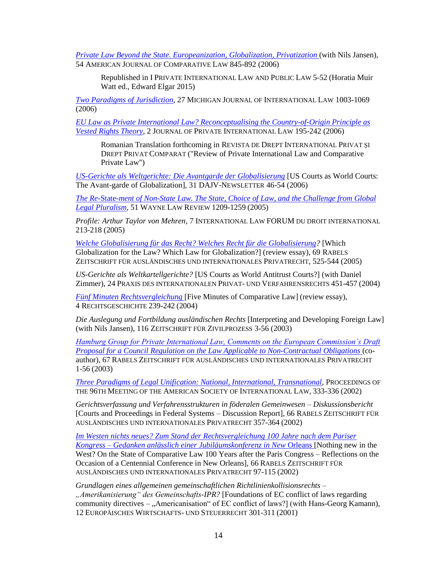*Private Law Beyond the State. Europeanization, Globalization, Privatization* (with Nils Jansen), 54 AMERICAN JOURNAL OF COMPARATIVE LAW 845-892 (2006)

Republished in I PRIVATE INTERNATIONAL LAW AND PUBLIC LAW 5-52 (Horatia Muir Watt ed., Edward Elgar 2015)

*[Two Paradigms of Jurisdiction](http://eprints.law.duke.edu/1614/)*, 27 MICHIGAN JOURNAL OF INTERNATIONAL LAW 1003-1069 (2006)

*[EU Law as Private International Law? Reconceptualising the Country-of-Origin Principle as](http://eprints.law.duke.edu/1573/1/EU_Law.pdf)  [Vested Rights Theory](http://eprints.law.duke.edu/1573/1/EU_Law.pdf)*, 2 JOURNAL OF PRIVATE INTERNATIONAL LAW 195-242 (2006)

Romanian Translation forthcoming in REVISTA DE DREPT INTERNATIONAL PRIVAT ŞI DREPT PRIVAT COMPARAT ("Review of Private International Law and Comparative Private Law")

*[US-Gerichte als Weltgerichte: Die Avantgarde der Globalisierung](http://heinonline.org/HOL/LandingPage?handle=hein.journals/dajvnws2006&div=20&id=&page=)* [US Courts as World Courts: The Avant-garde of Globalization], 31 DAJV-NEWSLETTER 46-54 (2006)

*The Re-*State*[-ment of Non-State Law. The State, Choice of Law, and the Challenge from Global](http://eprints.law.duke.edu/1226/)  [Legal Pluralism,](http://eprints.law.duke.edu/1226/)* 51 WAYNE LAW REVIEW 1209-1259 (2005)

*Profile: Arthur Taylor von Mehren*, 7 INTERNATIONAL LAW FORUM DU DROIT INTERNATIONAL 213-218 (2005)

*[Welche Globalisierung für das Recht? Welches Recht für die Globalisierung?](https://www.jstor.org/stable/27878535)* [Which Globalization for the Law? Which Law for Globalization?] (review essay), 69 RABELS ZEITSCHRIFT FÜR AUSLÄNDISCHES UND INTERNATIONALES PRIVATRECHT, 525-544 (2005)

*US-Gerichte als Weltkartellgerichte?* [US Courts as World Antitrust Courts?] (with Daniel Zimmer), 24 PRAXIS DES INTERNATIONALEN PRIVAT- UND VERFAHRENSRECHTS 451-457 (2004)

*[Fünf Minuten Rechtsvergleichung](http://rg.mpier.uni-frankfurt.de/fileadmin/user_upload/PDF/rg04/rg04_kritik_michaels.pdf)* [Five Minutes of Comparative Law] (review essay), 4 RECHTSGESCHICHTE 239-242 (2004)

*Die Auslegung und Fortbildung ausländischen Rechts* [Interpreting and Developing Foreign Law] (with Nils Jansen), 116 ZEITSCHRIFT FÜR ZIVILPROZESS 3-56 (2003)

*[Hamburg Group for Private International Law, Comments on the European Commission's Draft](http://eprints.law.duke.edu/1193/)  [Proposal for a Council Regulation on the Law Applicable to Non-Contractual Obligations](http://eprints.law.duke.edu/1193/)* (coauthor)*,* 67 RABELS ZEITSCHRIFT FÜR AUSLÄNDISCHES UND INTERNATIONALES PRIVATRECHT 1-56 (2003)

*[Three Paradigms of Legal Unification: National, International, Transnational,](http://www.jstor.org/discover/10.2307/25659799?uid=3739776&uid=2&uid=4&uid=3739256&sid=21101942090601)* PROCEEDINGS OF THE 96TH MEETING OF THE AMERICAN SOCIETY OF INTERNATIONAL LAW, 333-336 (2002)

*Gerichtsverfassung und Verfahrensstrukturen in föderalen Gemeinwesen – Diskussionsbericht*  [Courts and Proceedings in Federal Systems – Discussion Report], 66 RABELS ZEITSCHRIFT FÜR AUSLÄNDISCHES UND INTERNATIONALES PRIVATRECHT 357-364 (2002)

*[Im Westen nichts neues? Zum Stand der Rechtsvergleichung 100 Jahre nach dem Pariser](http://eprints.law.duke.edu/1230/)  Kongress – [Gedanken anlässlich einer Jubiläumskonferenz in New](http://eprints.law.duke.edu/1230/)* Orleans [Nothing new in the West? On the State of Comparative Law 100 Years after the Paris Congress – Reflections on the Occasion of a Centennial Conference in New Orleans], 66 RABELS ZEITSCHRIFT FÜR AUSLÄNDISCHES UND INTERNATIONALES PRIVATRECHT 97-115 (2002)

*Grundlagen eines allgemeinen gemeinschaftlichen Richtlinienkollisionsrechts – "Amerikanisierung" des Gemeinschafts-IPR?* [Foundations of EC conflict of laws regarding community directives – "Americanisation" of EC conflict of laws?] (with Hans-Georg Kamann), 12 EUROPÄISCHES WIRTSCHAFTS- UND STEUERRECHT 301-311 (2001)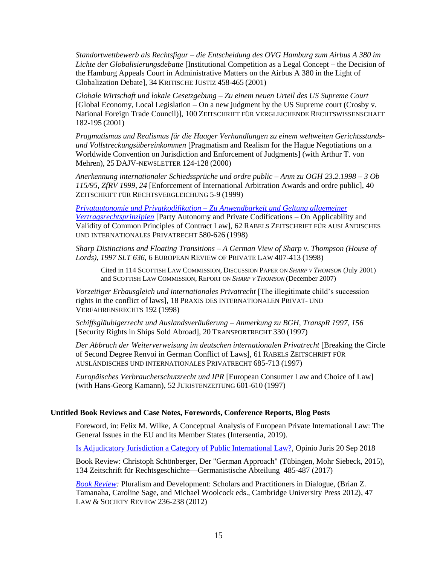*Standortwettbewerb als Rechtsfigur – die Entscheidung des OVG Hamburg zum Airbus A 380 im Lichte der Globalisierungsdebatte* [Institutional Competition as a Legal Concept – the Decision of the Hamburg Appeals Court in Administrative Matters on the Airbus A 380 in the Light of Globalization Debate], 34 KRITISCHE JUSTIZ 458-465 (2001)

*Globale Wirtschaft und lokale Gesetzgebung – Zu einem neuen Urteil des US Supreme Court*  [Global Economy, Local Legislation – On a new judgment by the US Supreme court (Crosby v. National Foreign Trade Council)], 100 ZEITSCHRIFT FÜR VERGLEICHENDE RECHTSWISSENSCHAFT 182-195 (2001)

*Pragmatismus und Realismus für die Haager Verhandlungen zu einem weltweiten Gerichtsstandsund Vollstreckungsübereinkommen* [Pragmatism and Realism for the Hague Negotiations on a Worldwide Convention on Jurisdiction and Enforcement of Judgments] (with Arthur T. von Mehren), 25 DAJV-NEWSLETTER 124-128 (2000)

*Anerkennung internationaler Schiedssprüche und ordre public – Anm zu OGH 23.2.1998 – 3 Ob 115/95, ZfRV 1999, 24* [Enforcement of International Arbitration Awards and ordre public], 40 ZEITSCHRIFT FÜR RECHTSVERGLEICHUNG 5-9 (1999)

*Privatautonomie und Privatkodifikation – [Zu Anwendbarkeit und Geltung allgemeiner](http://scholarship.law.duke.edu/faculty_scholarship/3066/)  [Vertragsrechtsprinzipien](http://scholarship.law.duke.edu/faculty_scholarship/3066/)* [Party Autonomy and Private Codifications – On Applicability and Validity of Common Principles of Contract Law], 62 RABELS ZEITSCHRIFT FÜR AUSLÄNDISCHES UND INTERNATIONALES PRIVATRECHT 580-626 (1998)

*Sharp Distinctions and Floating Transitions – A German View of Sharp v. Thompson (House of Lords), 1997 SLT 636,* 6 EUROPEAN REVIEW OF PRIVATE LAW 407-413 (1998)

Cited in 114 SCOTTISH LAW COMMISSION, DISCUSSION PAPER ON *SHARP V THOMSON* (July 2001) and SCOTTISH LAW COMMISSION, REPORT ON *SHARP V THOMSON* (December 2007)

*Vorzeitiger Erbausgleich und internationales Privatrecht* [The illegitimate child's succession rights in the conflict of laws], 18 PRAXIS DES INTERNATIONALEN PRIVAT- UND VERFAHRENSRECHTS 192 (1998)

*Schiffsgläubigerrecht und Auslandsveräußerung – Anmerkung zu BGH, TranspR 1997, 156*  [Security Rights in Ships Sold Abroad]*,* 20 TRANSPORTRECHT 330 (1997)

*Der Abbruch der Weiterverweisung im deutschen internationalen Privatrecht* [Breaking the Circle of Second Degree Renvoi in German Conflict of Laws], 61 RABELS ZEITSCHRIFT FÜR AUSLÄNDISCHES UND INTERNATIONALES PRIVATRECHT 685-713 (1997)

*Europäisches Verbraucherschutzrecht und IPR* [European Consumer Law and Choice of Law] (with Hans-Georg Kamann), 52 JURISTENZEITUNG 601-610 (1997)

# **Untitled Book Reviews and Case Notes, Forewords, Conference Reports, Blog Posts**

Foreword, in: Felix M. Wilke, A Conceptual Analysis of European Private International Law: The General Issues in the EU and its Member States (Intersentia, 2019).

[Is Adjudicatory Jurisdiction a Category of Public International Law?,](http://opiniojuris.org/2018/09/20/is-adjudicatory-jurisdiction-a-category-of-public-international-law/) Opinio Juris 20 Sep 2018

Book Review: Christoph Schönberger, Der "German Approach" (Tübingen, Mohr Siebeck, 2015), 134 Zeitschrift für Rechtsgeschichte—Germanistische Abteilung 485-487 (2017)

*[Book Review:](http://onlinelibrary.wiley.com/doi/10.1111/lasr.12010/full)* Pluralism and Development: Scholars and Practitioners in Dialogue, (Brian Z. Tamanaha, Caroline Sage, and Michael Woolcock eds., Cambridge University Press 2012), 47 LAW & SOCIETY REVIEW 236-238 (2012)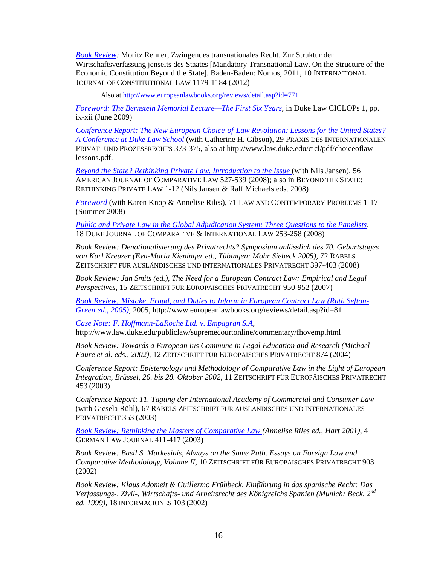*[Book Review:](http://icon.oxfordjournals.org/content/10/4/1179.extract)* Moritz Renner, Zwingendes transnationales Recht. Zur Struktur der Wirtschaftsverfassung jenseits des Staates [Mandatory Transnational Law. On the Structure of the Economic Constitution Beyond the State]. Baden-Baden: Nomos, 2011, 10 INTERNATIONAL JOURNAL OF CONSTITUTIONAL LAW 1179-1184 (2012)

Also at<http://www.europeanlawbooks.org/reviews/detail.asp?id=771>

*[Foreword: The Bernstein Memorial Lecture—The First Six Years](http://eprints.law.duke.edu/1945/1/CICLOPS_Michaels.pdf)*, in Duke Law CICLOPs 1, pp. ix-xii (June 2009)

*Conference [Report: The New European Choice-of-Law Revolution: Lessons for the United States?](http://www.law.duke.edu/cicl/pdf/choiceoflaw-lessons.pdf)  [A Conference at Duke Law School](http://www.law.duke.edu/cicl/pdf/choiceoflaw-lessons.pdf)* (with Catherine H. Gibson), 29 PRAXIS DES INTERNATIONALEN PRIVAT- UND PROZESSRECHTS 373-375, also at http://www.law.duke.edu/cicl/pdf/choiceoflawlessons.pdf.

*Beyond the State? Rethinking Private Law. Introduction to the Issue* (with Nils Jansen), 56 AMERICAN JOURNAL OF COMPARATIVE LAW 527-539 (2008); also in BEYOND THE STATE: RETHINKING PRIVATE LAW 1-12 (Nils Jansen & Ralf Michaels eds. 2008)

*[Foreword](http://www.law.duke.edu/shell/cite.pl?71+Law+&+Contemp.+Probs.+1+(summer+2008))* (with Karen Knop & Annelise Riles), 71 LAW AND CONTEMPORARY PROBLEMS 1-17 (Summer 2008)

*[Public and Private Law in the Global Adjudication System: Three Questions to the Panelists](http://www.law.duke.edu/shell/cite.pl?18+Duke+J.+Comp.+&+Int%27l+L.+253+pdf)*, 18 DUKE JOURNAL OF COMPARATIVE & INTERNATIONAL LAW 253-258 (2008)

*Book Review: Denationalisierung des Privatrechts? Symposium anlässlich des 70. Geburtstages von Karl Kreuzer (Eva-Maria Kieninger ed., Tübingen: Mohr Siebeck 2005)*, 72 RABELS ZEITSCHRIFT FÜR AUSLÄNDISCHES UND INTERNATIONALES PRIVATRECHT 397-403 (2008)

*Book Review: Jan Smits (ed.), The Need for a European Contract Law: Empirical and Legal Perspectives*, 15 ZEITSCHRIFT FÜR EUROPÄISCHES PRIVATRECHT 950-952 (2007)

*[Book Review: Mistake, Fraud, and Duties to Inform in European Contract Law \(Ruth Sefton-](http://www.europeanlawbooks.org/reviews/detail.asp?id=81)[Green ed., 2005\)](http://www.europeanlawbooks.org/reviews/detail.asp?id=81)*, 2005, http://www.europeanlawbooks.org/reviews/detail.asp?id=81

*[Case Note: F. Hoffmann-LaRoche Ltd. v. Empagran S.A](http://www.law.duke.edu/publiclaw/supremecourtonline/commentary/fhovemp.html)*, http://www.law.duke.edu/publiclaw/supremecourtonline/commentary/fhovemp.html

*Book Review: Towards a European Ius Commune in Legal Education and Research (Michael Faure et al. eds., 2002),* 12 ZEITSCHRIFT FÜR EUROPÄISCHES PRIVATRECHT 874 (2004)

*Conference Report: Epistemology and Methodology of Comparative Law in the Light of European Integration, Brüssel, 26. bis 28. Oktober 2002,* 11 ZEITSCHRIFT FÜR EUROPÄISCHES PRIVATRECHT 453 (2003)

*Conference Report*: *11. Tagung der International Academy of Commercial and Consumer Law*  (with Giesela Rühl), 67 RABELS ZEITSCHRIFT FÜR AUSLÄNDISCHES UND INTERNATIONALES PRIVATRECHT 353 (2003)

*[Book Review: Rethinking the Masters of Comparative Law \(](http://eprints.law.duke.edu/1166/)Annelise Riles ed., Hart 2001),* 4 GERMAN LAW JOURNAL 411-417 (2003)

*Book Review: Basil S. Markesinis, Always on the Same Path. Essays on Foreign Law and Comparative Methodology, Volume II,* 10 ZEITSCHRIFT FÜR EUROPÄISCHES PRIVATRECHT 903 (2002)

*Book Review: Klaus Adomeit & Guillermo Frühbeck, Einführung in das spanische Recht: Das Verfassungs-, Zivil-, Wirtschafts- und Arbeitsrecht des Königreichs Spanien (Munich: Beck, 2nd ed. 1999),* 18 INFORMACIONES 103 (2002)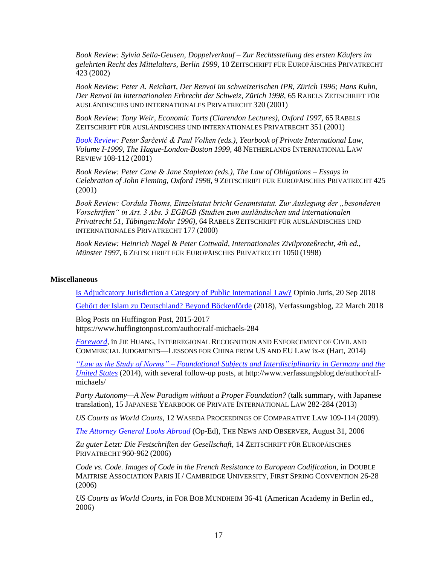*Book Review: Sylvia Sella-Geusen, Doppelverkauf – Zur Rechtsstellung des ersten Käufers im gelehrten Recht des Mittelalters, Berlin 1999,* 10 ZEITSCHRIFT FÜR EUROPÄISCHES PRIVATRECHT 423 (2002)

*Book Review: Peter A. Reichart, Der Renvoi im schweizerischen IPR, Zürich 1996; Hans Kuhn, Der Renvoi im internationalen Erbrecht der Schweiz, Zürich 1998,* 65 RABELS ZEITSCHRIFT FÜR AUSLÄNDISCHES UND INTERNATIONALES PRIVATRECHT 320 (2001)

*Book Review: Tony Weir, Economic Torts (Clarendon Lectures), Oxford 1997,* 65 RABELS ZEITSCHRIFT FÜR AUSLÄNDISCHES UND INTERNATIONALES PRIVATRECHT 351 (2001)

*[Book Review:](http://journals.cambridge.org/action/displayAbstract?fromPage=online&aid=4808472&fulltextType=BR&fileId=S0165070X00001170) Petar Šarčević & Paul Volken (eds.), Yearbook of Private International Law, Volume I-1999, The Hague-London-Boston 1999,* 48 NETHERLANDS INTERNATIONAL LAW REVIEW 108-112 (2001)

*Book Review: Peter Cane & Jane Stapleton (eds.), The Law of Obligations – Essays in Celebration of John Fleming, Oxford 1998,* 9 ZEITSCHRIFT FÜR EUROPÄISCHES PRIVATRECHT 425 (2001)

*Book Review: Cordula Thoms, Einzelstatut bricht Gesamtstatut. Zur Auslegung der "besonderen Vorschriften" in Art. 3 Abs. 3 EGBGB (Studien zum ausländischen und internationalen Privatrecht 51, Tübingen:Mohr 1996),* 64 RABELS ZEITSCHRIFT FÜR AUSLÄNDISCHES UND INTERNATIONALES PRIVATRECHT 177 (2000)

*Book Review: Heinrich Nagel & Peter Gottwald, Internationales Zivilprozeßrecht, 4th ed., Münster 1997,* 6 ZEITSCHRIFT FÜR EUROPÄISCHES PRIVATRECHT 1050 (1998)

## **Miscellaneous**

[Is Adjudicatory Jurisdiction a Category of Public International Law?](http://opiniojuris.org/2018/09/20/is-adjudicatory-jurisdiction-a-category-of-public-international-law/) Opinio Juris, 20 Sep 2018

[Gehört der Islam zu Deutschland? Beyond Böckenförde](file://///Users/michaels/Documents/Gehört%20der%20Islam%20zu%20Deutschland%25253F%20Beyond%20Böckenförde) (2018), Verfassungsblog, 22 March 2018

Blog Posts on Huffington Post, 2015-2017 https://www.huffingtonpost.com/author/ralf-michaels-284

*[Foreword,](http://www.hartpub.co.uk/Huang_Preface_Foreword.pdf)* in JIE HUANG, INTERREGIONAL RECOGNITION AND ENFORCEMENT OF CIVIL AND COMMERCIAL JUDGMENTS—LESSONS FOR CHINA FROM US AND EU LAW ix-x (Hart, 2014)

*"Law as the Study of Norms" – [Foundational Subjects and Interdisciplinarity in Germany and the](http://verfassungsblog.de/law-as-the-study-of-norms-foundational-subjects-and-interdisciplinarity-in-germany-and-the-united-states/)  [United States](http://verfassungsblog.de/law-as-the-study-of-norms-foundational-subjects-and-interdisciplinarity-in-germany-and-the-united-states/)* (2014), with several follow-up posts, at http://www.verfassungsblog.de/author/ralfmichaels/

*Party Autonomy—A New Paradigm without a Proper Foundation?* (talk summary, with Japanese translation), 15 JAPANESE YEARBOOK OF PRIVATE INTERNATIONAL LAW 282-284 (2013)

*US Courts as World Courts,* 12 WASEDA PROCEEDINGS OF COMPARATIVE LAW 109-114 (2009).

*[The Attorney General Looks Abroad](http://www.newsobserver.com/559/story/480699.html)* (Op-Ed), THE NEWS AND OBSERVER, August 31, 2006

*Zu guter Letzt: Die Festschriften der Gesellschaft,* 14 ZEITSCHRIFT FÜR EUROPÄISCHES PRIVATRECHT 960-962 (2006)

*Code vs. Code. Images of Code in the French Resistance to European Codification*, in DOUBLE MAITRISE ASSOCIATION PARIS II / CAMBRIDGE UNIVERSITY, FIRST SPRING CONVENTION 26-28 (2006)

*US Courts as World Courts*, in FOR BOB MUNDHEIM 36-41 (American Academy in Berlin ed., 2006)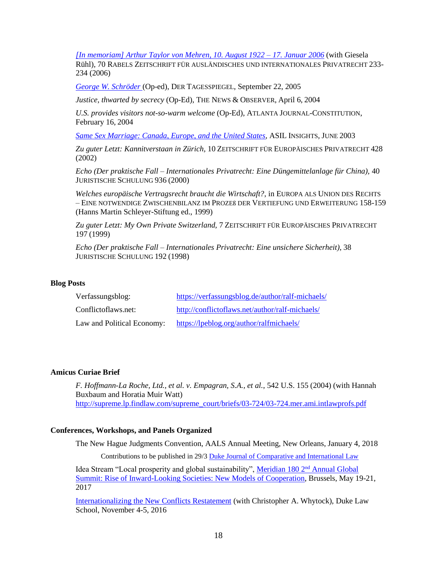*[\[In memoriam\] Arthur Taylor von Mehren, 10. August 1922 –](http://eprints.law.duke.edu/1461/) 17. Januar 2006* (with Giesela

Rühl)*,* 70 RABELS ZEITSCHRIFT FÜR AUSLÄNDISCHES UND INTERNATIONALES PRIVATRECHT 233- 234 (2006)

*[George W. Schröder](http://www.tagesspiegel.de/meinung/kommentare/;art141,2174397)* (Op-ed), DER TAGESSPIEGEL, September 22, 2005

*Justice, thwarted by secrecy* (Op-Ed), THE NEWS & OBSERVER, April 6, 2004

*U.S. provides visitors not-so-warm welcome* (Op-Ed), ATLANTA JOURNAL-CONSTITUTION, February 16, 2004

*[Same Sex Marriage: Canada, Europe, and the United States,](http://www.asil.org/insigh111.cfm)* ASIL INSIGHTS, JUNE 2003

*Zu guter Letzt: Kannitverstaan in Zürich,* 10 ZEITSCHRIFT FÜR EUROPÄISCHES PRIVATRECHT 428 (2002)

*Echo (Der praktische Fall – Internationales Privatrecht: Eine Düngemittelanlage für China),* 40 JURISTISCHE SCHULUNG 936 (2000)

*Welches europäische Vertragsrecht braucht die Wirtschaft?*, in EUROPA ALS UNION DES RECHTS – EINE NOTWENDIGE ZWISCHENBILANZ IM PROZEß DER VERTIEFUNG UND ERWEITERUNG 158-159 (Hanns Martin Schleyer-Stiftung ed., 1999)

*Zu guter Letzt: My Own Private Switzerland,* 7 ZEITSCHRIFT FÜR EUROPÄISCHES PRIVATRECHT 197 (1999)

*Echo (Der praktische Fall – Internationales Privatrecht: Eine unsichere Sicherheit),* 38 JURISTISCHE SCHULUNG 192 (1998)

### **Blog Posts**

| Verfassungsblog:           | https://verfassungsblog.de/author/ralf-michaels/ |
|----------------------------|--------------------------------------------------|
| Conflictoflaws.net:        | http://conflictoflaws.net/author/ralf-michaels/  |
| Law and Political Economy: | https://lpeblog.org/author/ralfmichaels/         |

### **Amicus Curiae Brief**

*F. Hoffmann-La Roche, Ltd., et al. v. Empagran, S.A., et al.*, 542 U.S. 155 (2004) (with Hannah Buxbaum and Horatia Muir Watt) [http://supreme.lp.findlaw.com/supreme\\_court/briefs/03-724/03-724.mer.ami.intlawprofs.pdf](http://supreme.lp.findlaw.com/supreme_court/briefs/03-724/03-724.mer.ami.intlawprofs.pdf)

#### **Conferences, Workshops, and Panels Organized**

The New Hague Judgments Convention, AALS Annual Meeting, New Orleans, January 4, 2018

Contributions to be published in 29/3 [Duke Journal of Comparative and International Law](https://scholarship.law.duke.edu/djcil/)

Idea Stream "Local prosperity and global sustainability", [Meridian 180 2](http://www.cvent.com/events/meridian-180-global-summit-2017/event-summary-d392a872e6654eb4825aab53ecb67d55.aspx)nd Annual Global [Summit: Rise of Inward-Looking Societies: New Models of Cooperation,](http://www.cvent.com/events/meridian-180-global-summit-2017/event-summary-d392a872e6654eb4825aab53ecb67d55.aspx) Brussels, May 19-21, 2017

[Internationalizing the New Conflicts Restatement](http://djcil.law.duke.edu/symposium/) (with Christopher A. Whytock), Duke Law School, November 4-5, 2016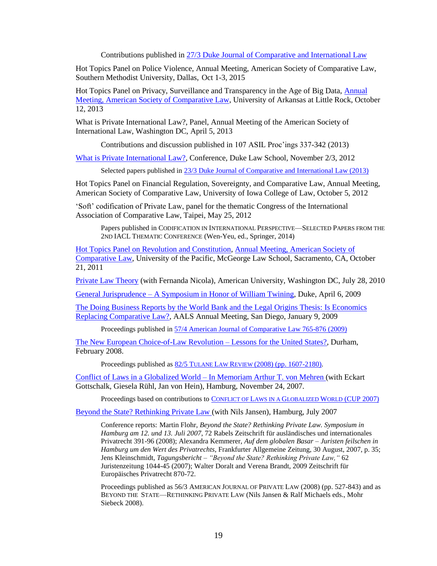Contributions published in [27/3 Duke Journal of Comparative and International Law](https://scholarship.law.duke.edu/djcil/vol27/iss3/)

Hot Topics Panel on Police Violence, Annual Meeting, American Society of Comparative Law, Southern Methodist University, Dallas, Oct 1-3, 2015

Hot Topics Panel on Privacy, Surveillance and Transparency in the Age of Big Data, Annual [Meeting, American Society of Comparative Law,](http://ualr.edu/law/ascl/) University of Arkansas at Little Rock, October 12, 2013

What is Private International Law?, Panel, Annual Meeting of the American Society of International Law, Washington DC, April 5, 2013

Contributions and discussion published in 107 ASIL Proc'ings 337-342 (2013)

[What is Private International Law?,](http://web.law.duke.edu/cicl/pilconference/) Conference, Duke Law School, November 2/3, 2012

Selected papers published in [23/3 Duke Journal of Comparative and International Law \(2013\)](http://scholarship.law.duke.edu/djcil/vol23/iss3/)

Hot Topics Panel on Financial Regulation, Sovereignty, and Comparative Law, Annual Meeting, American Society of Comparative Law, University of Iowa College of Law, October 5, 2012

'Soft' codification of Private Law, panel for the thematic Congress of the International Association of Comparative Law, Taipei, May 25, 2012

Papers published in CODIFICATION IN INTERNATIONAL PERSPECTIVE—SELECTED PAPERS FROM THE 2ND IACL THEMATIC CONFERENCE (Wen-Yeu, ed., Springer, 2014)

[Hot Topics Panel on Revolution and Constitution,](http://www.youtube.com/watch?v=D-iGffWtcDc) [Annual Meeting, American Society of](http://www.mcgeorge.edu/Research_Centers_and_Institutes/Global_Center_for_Business_and_Development/Conferences/ASCL_Annual_Meeting.htm)  [Comparative Law,](http://www.mcgeorge.edu/Research_Centers_and_Institutes/Global_Center_for_Business_and_Development/Conferences/ASCL_Annual_Meeting.htm) University of the Pacific, McGeorge Law School, Sacramento, CA, October 21, 2011

[Private Law Theory](http://www.wcl.american.edu/events/2010congress/Private_Law_Theory_Workshop.07.28.10.pdf?rd=1) (with Fernanda Nicola), American University, Washington DC, July 28, 2010

General Jurisprudence – [A Symposium in Honor of William Twining,](http://www.law.duke.edu/news/story?id=3172&u=26) Duke, April 6, 2009

[The Doing Business Reports by the World Bank and the Legal Origins Thesis: Is Economics](http://www.aals.org/events_am2009_fri.php)  [Replacing Comparative Law?,](http://www.aals.org/events_am2009_fri.php) AALS Annual Meeting, San Diego, January 9, 2009

Proceedings published in [57/4 American Journal of Comparative Law 765-876 \(2009\)](http://comparativelaw.metapress.com/content/l408115w82ru/?p=dda68e574d82415f98969afff554dd71&pi=0)

[The New European Choice-of-Law Revolution –](http://www.law.duke.edu/cicl/choiceoflaw) Lessons for the United States?, Durham, February 2008.

Proceedings published as  $82/5$  TULANE LAW REVIEW (2008) [\(pp. 1607-2180\).](http://www.law.tulane.edu/uploadedFiles/Tulane_Journal_Sites/Tulane_Law_Review/Tables_of_Contents/82%20Number%205.pdf)

[Conflict of Laws in a Globalized World –](http://www.mpipriv.de/ww/en/pub/news/events/symposi_arthur_t__von.cfm) In Memoriam Arthur T. von Mehren (with Eckart Gottschalk, Giesela Rühl, Jan von Hein), Hamburg, November 24, 2007.

Proceedings based on contributions to CONFLICT OF LAWS IN A GLOBALIZED WORLD [\(CUP 2007\)](http://www.cambridge.org/catalogue/catalogue.asp?isbn=0521871301)

[Beyond the State? Rethinking Private Law \(](http://www.privatelaw.org/)with Nils Jansen), Hamburg, July 2007

Conference reports: Martin Flohr, *Beyond the State? Rethinking Private Law. Symposium in Hamburg am 12. und 13. Juli 2007*, 72 Rabels Zeitschrift für ausländisches und internationales Privatrecht 391-96 (2008); Alexandra Kemmerer, *Auf dem globalen Basar – Juristen feilschen in Hamburg um den Wert des Privatrechts*, Frankfurter Allgemeine Zeitung, 30 August, 2007, p. 35; Jens Kleinschmidt, *Tagungsbericht – "Beyond the State? Rethinking Private Law,"* 62 Juristenzeitung 1044-45 (2007); Walter Doralt and Verena Brandt, 2009 Zeitschrift für Europäisches Privatrecht 870-72.

Proceedings published as 56/3 AMERICAN JOURNAL OF PRIVATE LAW (2008) (pp. 527-843) and as BEYOND THE STATE—RETHINKING PRIVATE LAW (Nils Jansen & Ralf Michaels eds., Mohr Siebeck 2008).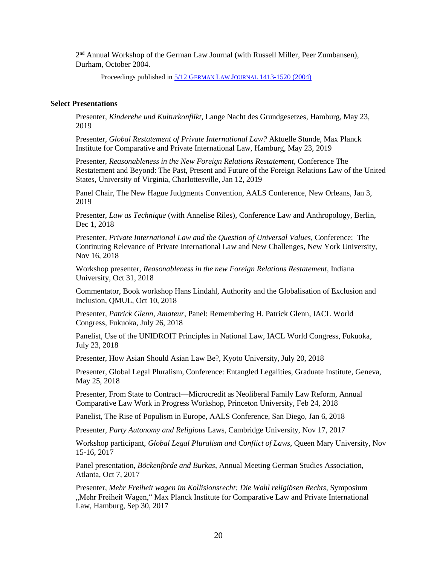2<sup>nd</sup> Annual Workshop of the German Law Journal (with Russell Miller, Peer Zumbansen), Durham, October 2004.

Proceedings published in 5/12 GERMAN LAW JOURNAL [1413-1520 \(2004\)](http://www.germanlawjournal.com/pdf/Vol05/pdf_vol_05_no_12.pdf)

#### **Select Presentations**

Presenter, *Kinderehe und Kulturkonflikt*, Lange Nacht des Grundgesetzes, Hamburg, May 23, 2019

Presenter, *Global Restatement of Private International Law?* Aktuelle Stunde, Max Planck Institute for Comparative and Private International Law, Hamburg, May 23, 2019

Presenter, *Reasonableness in the New Foreign Relations Restatement*, Conference The Restatement and Beyond: The Past, Present and Future of the Foreign Relations Law of the United States, University of Virginia, Charlottesville, Jan 12, 2019

Panel Chair, The New Hague Judgments Convention, AALS Conference, New Orleans, Jan 3, 2019

Presenter, *Law as Technique* (with Annelise Riles), Conference Law and Anthropology, Berlin, Dec 1, 2018

Presenter, *Private International Law and the Question of Universal Values*, Conference: The Continuing Relevance of Private International Law and New Challenges, New York University, Nov 16, 2018

Workshop presenter, *Reasonableness in the new Foreign Relations Restatement*, Indiana University, Oct 31, 2018

Commentator, Book workshop Hans Lindahl, Authority and the Globalisation of Exclusion and Inclusion, QMUL, Oct 10, 2018

Presenter, *Patrick Glenn, Amateur*, Panel: Remembering H. Patrick Glenn, IACL World Congress, Fukuoka, July 26, 2018

Panelist, Use of the UNIDROIT Principles in National Law, IACL World Congress, Fukuoka, July 23, 2018

Presenter, How Asian Should Asian Law Be?, Kyoto University, July 20, 2018

Presenter, Global Legal Pluralism, Conference: Entangled Legalities, Graduate Institute, Geneva, May 25, 2018

Presenter, From State to Contract—Microcredit as Neoliberal Family Law Reform, Annual Comparative Law Work in Progress Workshop, Princeton University, Feb 24, 2018

Panelist, The Rise of Populism in Europe, AALS Conference, San Diego, Jan 6, 2018

Presenter, *Party Autonomy and Religious* Laws, Cambridge University, Nov 17, 2017

Workshop participant, *Global Legal Pluralism and Conflict of Laws*, Queen Mary University, Nov 15-16, 2017

Panel presentation, *Böckenförde and Burkas*, Annual Meeting German Studies Association, Atlanta, Oct 7, 2017

Presenter, *Mehr Freiheit wagen im Kollisionsrecht: Die Wahl religiösen Rechts*, Symposium "Mehr Freiheit Wagen," Max Planck Institute for Comparative Law and Private International Law, Hamburg, Sep 30, 2017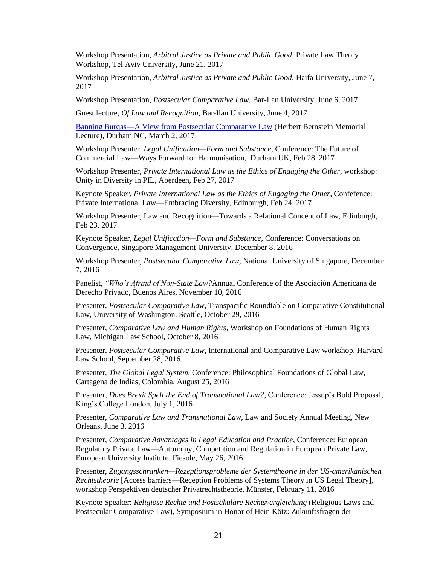Workshop Presentation, *Arbitral Justice as Private and Public Good*, Private Law Theory Workshop, Tel Aviv University, June 21, 2017

Workshop Presentation, *Arbitral Justice as Private and Public Good*, Haifa University, June 7, 2017

Workshop Presentation, *Postsecular Comparative Law*, Bar-Ilan University, June 6, 2017

Guest lecture, *Of Law and Recognition*, Bar-Ilan University, June 4, 2017

[Banning Burqas—A View from Postsecular Comparative Law](https://law.duke.edu/video/bernstein-lecture-2017-ralf-michaels-banning-burqas-view-postsecular-comparative-law/) (Herbert Bernstein Memorial Lecture), Durham NC, March 2, 2017

Workshop Presenter, *Legal Unification—Form and Substance*, Conference: The Future of Commercial Law—Ways Forward for Harmonisation, Durham UK, Feb 28, 2017

Workshop Presenter, *Private International Law as the Ethics of Engaging the Other*, workshop: Unity in Diversity in PIL, Aberdeen, Feb 27, 2017

Keynote Speaker, *Private International Law as the Ethics of Engaging the Other*, Confefence: Private International Law—Embracing Diversity, Edinburgh, Feb 24, 2017

Workshop Presenter, Law and Recognition—Towards a Relational Concept of Law, Edinburgh, Feb 23, 2017

Keynote Speaker, *Legal Unification—Form and Substance*, Conference: Conversations on Convergence, Singapore Management University, December 8, 2016

Workshop Presenter, *Postsecular Comparative Law*, National University of Singapore, December 7, 2016

Panelist, *"Who's Afraid of Non-State Law?*Annual Conference of the Asociación Americana de Derecho Privado, Buenos Aires, November 10, 2016

Presenter, *Postsecular Comparative Law*, Transpacific Roundtable on Comparative Constitutional Law, University of Washington, Seattle, October 29, 2016

Presenter, *Comparative Law and Human Rights*, Workshop on Foundations of Human Rights Law, Michigan Law School, October 8, 2016

Presenter, *Postsecular Comparative Law*, International and Comparative Law workshop, Harvard Law School, September 28, 2016

Presenter, *The Global Legal System*, Conference: Philosophical Foundations of Global Law, Cartagena de Indias, Colombia, August 25, 2016

Presenter, *Does Brexit Spell the End of Transnational Law?*, Conference: Jessup's Bold Proposal, King's College London, July 1, 2016

Presenter, *Comparative Law and Transnational Law*, Law and Society Annual Meeting, New Orleans, June 3, 2016

Presenter, *Comparative Advantages in Legal Education and Practice*, Conference: European Regulatory Private Law—Autonomy, Competition and Regulation in European Private Law, European University Institute, Fiesole, May 26, 2016

Presenter, *Zugangsschranken—Rezeptionsprobleme der Systemtheorie in der US-amerikanischen Rechtstheorie* [Access barriers—Reception Problems of Systems Theory in US Legal Theory], workshop Perspektiven deutscher Privatrechtstheorie, Münster, February 11, 2016

Keynote Speaker: *Religiöse Rechte und Postsäkulare Rechtsvergleichung* (Religious Laws and Postsecular Comparative Law), Symposium in Honor of Hein Kötz: Zukunftsfragen der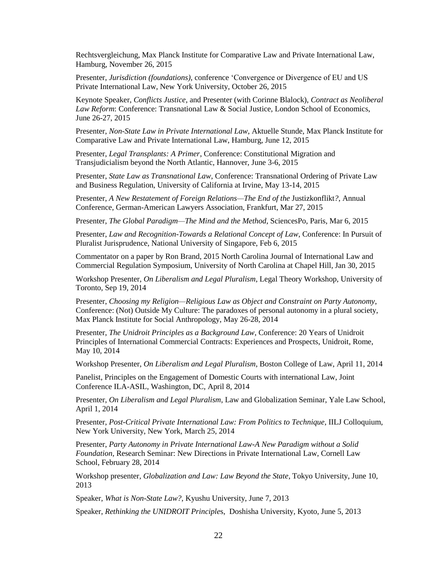Rechtsvergleichung, Max Planck Institute for Comparative Law and Private International Law, Hamburg, November 26, 2015

Presenter, *Jurisdiction (foundations)*, conference 'Convergence or Divergence of EU and US Private International Law, New York University, October 26, 2015

Keynote Speaker, *Conflicts Justice*, and Presenter (with Corinne Blalock), *Contract as Neoliberal Law Reform*: Conference: Transnational Law & Social Justice, London School of Economics, June 26-27, 2015

Presenter, *Non-State Law in Private International Law*, Aktuelle Stunde, Max Planck Institute for Comparative Law and Private International Law, Hamburg, June 12, 2015

Presenter, *Legal Transplants: A Primer*, Conference: Constitutional Migration and Transjudicialism beyond the North Atlantic, Hannover, June 3-6, 2015

Presenter, *State Law as Transnational Law*, Conference: Transnational Ordering of Private Law and Business Regulation, University of California at Irvine, May 13-14, 2015

Presenter, *A New Restatement of Foreign Relations—The End of the Justizkonflikt?*, Annual Conference, German-American Lawyers Association, Frankfurt, Mar 27, 2015

Presenter, *The Global Paradigm—The Mind and the Method*, SciencesPo, Paris, Mar 6, 2015

Presenter, *Law and Recognition-Towards a Relational Concept of Law*, Conference: In Pursuit of Pluralist Jurisprudence, National University of Singapore, Feb 6, 2015

Commentator on a paper by Ron Brand, 2015 North Carolina Journal of International Law and Commercial Regulation Symposium, University of North Carolina at Chapel Hill, Jan 30, 2015

Workshop Presenter, *On Liberalism and Legal Pluralism*, Legal Theory Workshop, University of Toronto, Sep 19, 2014

Presenter, *Choosing my Religion—Religious Law as Object and Constraint on Party Autonomy*, Conference: (Not) Outside My Culture: The paradoxes of personal autonomy in a plural society, Max Planck Institute for Social Anthropology, May 26-28, 2014

Presenter, *The Unidroit Principles as a Background Law*, Conference: 20 Years of Unidroit Principles of International Commercial Contracts: Experiences and Prospects, Unidroit, Rome, May 10, 2014

Workshop Presenter, *On Liberalism and Legal Pluralism*, Boston College of Law, April 11, 2014

Panelist, Principles on the Engagement of Domestic Courts with international Law, Joint Conference ILA-ASIL, Washington, DC, April 8, 2014

Presenter, *On Liberalism and Legal Pluralism*, Law and Globalization Seminar, Yale Law School, April 1, 2014

Presenter, *Post-Critical Private International Law: From Politics to Technique*, IILJ Colloquium, New York University, New York, March 25, 2014

Presenter, *Party Autonomy in Private International Law-A New Paradigm without a Solid Foundation*, Research Seminar: New Directions in Private International Law, Cornell Law School, February 28, 2014

Workshop presenter*, Globalization and Law: Law Beyond the State*, Tokyo University, June 10, 2013

Speaker, *What is Non-State Law?*, Kyushu University, June 7, 2013

Speaker, *Rethinking the UNIDROIT Principle*s, Doshisha University, Kyoto, June 5, 2013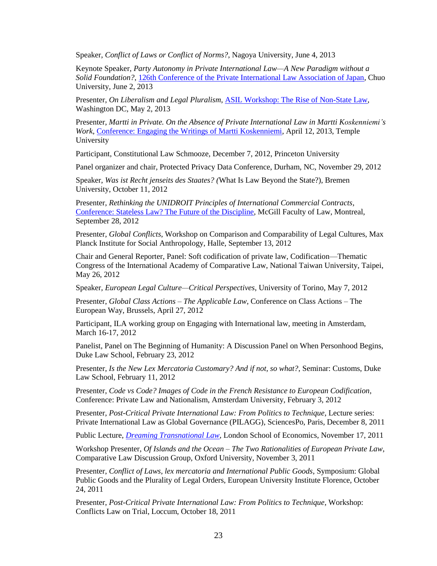Speaker, *Conflict of Laws or Conflict of Norms?*, Nagoya University, June 4, 2013

Keynote Speaker, *Party Autonomy in Private International Law—A New Paradigm without a Solid Foundation?*, [126th Conference of the Private International Law Association of Japan,](http://www.pilaj.jp/taikai/126_e.html) Chuo University, June 2, 2013

Presenter, *On Liberalism and Legal Pluralism*, [ASIL Workshop: The Rise of Non-State Law,](http://www.asil.org/activities_calendar.cfm?action=detail&rec=282) Washington DC, May 2, 2013

Presenter, *Martti in Private. On the Absence of Private International Law in Martti Koskenniemi's Work*, [Conference: Engaging the Writings of Martti Koskenniemi,](http://sites.temple.edu/iilppkoskenniemi2013/) April 12, 2013, Temple University

Participant, Constitutional Law Schmooze, December 7, 2012, Princeton University

Panel organizer and chair, Protected Privacy Data Conference, Durham, NC, November 29, 2012

Speaker, *Was ist Recht jenseits des Staates? (*What Is Law Beyond the State?), Bremen University, October 11, 2012

Presenter, *Rethinking the UNIDROIT Principles of International Commercial Contracts*, [Conference: Stateless Law? The Future of the Discipline,](https://secureweb.mcgill.ca/stateless/) McGill Faculty of Law, Montreal, September 28, 2012

Presenter, *Global Conflicts*, Workshop on Comparison and Comparability of Legal Cultures, Max Planck Institute for Social Anthropology, Halle, September 13, 2012

Chair and General Reporter, Panel: Soft codification of private law, Codification—Thematic Congress of the International Academy of Comparative Law, National Taiwan University, Taipei, May 26, 2012

Speaker, *European Legal Culture—Critical Perspectives*, University of Torino, May 7, 2012

Presenter, *Global Class Actions – The Applicable Law*, Conference on Class Actions – The European Way, Brussels, April 27, 2012

Participant, ILA working group on Engaging with International law, meeting in Amsterdam, March 16-17, 2012

Panelist, Panel on The Beginning of Humanity: A Discussion Panel on When Personhood Begins, Duke Law School, February 23, 2012

Presenter, *Is the New Lex Mercatoria Customary? And if not, so what?*, Seminar: Customs, Duke Law School, February 11, 2012

Presenter, *Code vs Code? Images of Code in the French Resistance to European Codification*, Conference: Private Law and Nationalism, Amsterdam University, February 3, 2012

Presenter, *Post-Critical Private International Law: From Politics to Technique*, Lecture series: Private International Law as Global Governance (PILAGG), SciencesPo, Paris, December 8, 2011

Public Lecture, *[Dreaming Transnational](http://www2.lse.ac.uk/newsAndMedia/videoAndAudio/channels/publicLecturesAndEvents/player.aspx?id=1256) Law*, London School of Economics, November 17, 2011

Workshop Presenter, *Of Islands and the Ocean – The Two Rationalities of European Private Law*, Comparative Law Discussion Group, Oxford University, November 3, 2011

Presenter, *Conflict of Laws, lex mercatoria and International Public Goods*, Symposium: Global Public Goods and the Plurality of Legal Orders, European University Institute Florence, October 24, 2011

Presenter, *Post-Critical Private International Law: From Politics to Technique*, Workshop: Conflicts Law on Trial, Loccum, October 18, 2011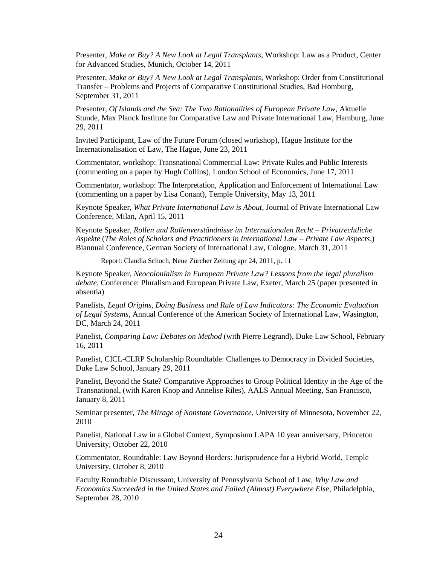Presenter, *Make or Buy? A New Look at Legal Transplants*, Workshop: Law as a Product, Center for Advanced Studies, Munich, October 14, 2011

Presenter, *Make or Buy? A New Look at Legal Transplants*, Workshop: Order from Constitutional Transfer – Problems and Projects of Comparative Constitutional Studies, Bad Homburg, September 31, 2011

Presenter, *Of Islands and the Sea: The Two Rationalities of European Private Law*, Aktuelle Stunde, Max Planck Institute for Comparative Law and Private International Law, Hamburg, June 29, 2011

Invited Participant, Law of the Future Forum (closed workshop), Hague Institute for the Internationalisation of Law, The Hague, June 23, 2011

Commentator, workshop: Transnational Commercial Law: Private Rules and Public Interests (commenting on a paper by Hugh Collins), London School of Economics, June 17, 2011

Commentator, workshop: The Interpretation, Application and Enforcement of International Law (commenting on a paper by Lisa Conant), Temple University, May 13, 2011

Keynote Speaker, *What Private International Law is About*, Journal of Private International Law Conference, Milan, April 15, 2011

Keynote Speaker, *Rollen und Rollenverständnisse im Internationalen Recht – Privatrechtliche Aspekte* (*The Roles of Scholars and Practitioners in International Law – Private Law Aspects*,) Biannual Conference, German Society of International Law, Cologne, March 31, 2011

Report: Claudia Schoch, Neue Zürcher Zeitung apr 24, 2011, p. 11

Keynote Speaker, *Neocolonialism in European Private Law? Lessons from the legal pluralism debate*, Conference: Pluralism and European Private Law, Exeter, March 25 (paper presented in absentia)

Panelists, *Legal Origins, Doing Business and Rule of Law Indicators: The Economic Evaluation of Legal Systems*, Annual Conference of the American Society of International Law, Wasington, DC, March 24, 2011

Panelist, *Comparing Law: Debates on Method* (with Pierre Legrand), Duke Law School, February 16, 2011

Panelist, CICL-CLRP Scholarship Roundtable: Challenges to Democracy in Divided Societies, Duke Law School, January 29, 2011

Panelist, Beyond the State? Comparative Approaches to Group Political Identity in the Age of the Transnational, (with Karen Knop and Annelise Riles), AALS Annual Meeting, San Francisco, January 8, 2011

Seminar presenter, *The Mirage of Nonstate Governance*, University of Minnesota, November 22, 2010

Panelist, National Law in a Global Context, Symposium LAPA 10 year anniversary, Princeton University, October 22, 2010

Commentator, Roundtable: Law Beyond Borders: Jurisprudence for a Hybrid World, Temple University, October 8, 2010

Faculty Roundtable Discussant, University of Pennsylvania School of Law, *Why Law and Economics Succeeded in the United States and Failed (Almost) Everywhere Else*, Philadelphia, September 28, 2010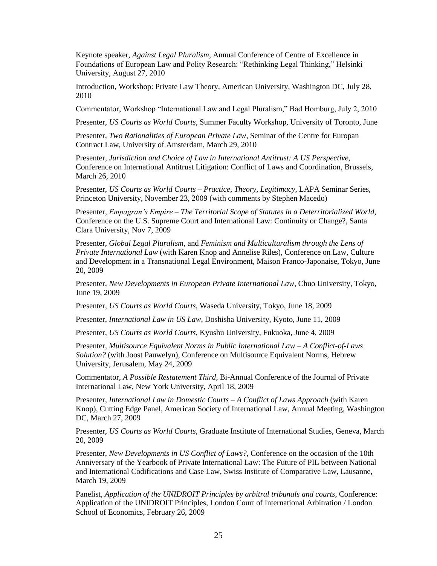Keynote speaker, *Against Legal Pluralism*, Annual Conference of Centre of Excellence in Foundations of European Law and Polity Research: "Rethinking Legal Thinking," Helsinki University, August 27, 2010

Introduction, Workshop: Private Law Theory, American University, Washington DC, July 28, 2010

Commentator, Workshop "International Law and Legal Pluralism," Bad Homburg, July 2, 2010

Presenter, *US Courts as World Courts*, Summer Faculty Workshop, University of Toronto, June

Presenter, *Two Rationalities of European Private Law*, Seminar of the Centre for Europan Contract Law, University of Amsterdam, March 29, 2010

Presenter, *Jurisdiction and Choice of Law in International Antitrust: A US Perspective*, Conference on International Antitrust Litigation: Conflict of Laws and Coordination, Brussels, March 26, 2010

Presenter, *US Courts as World Courts – Practice, Theory, Legitimacy*, LAPA Seminar Series, Princeton University, November 23, 2009 (with comments by Stephen Macedo)

Presenter, *Empagran's Empire – The Territorial Scope of Statutes in a Deterritorialized World*, Conference on the U.S. Supreme Court and International Law: Continuity or Change?, Santa Clara University, Nov 7, 2009

Presenter, *Global Legal Pluralism*, and *Feminism and Multiculturalism through the Lens of Private International Law* (with Karen Knop and Annelise Riles), Conference on Law, Culture and Development in a Transnational Legal Environment, Maison Franco-Japonaise, Tokyo, June 20, 2009

Presenter, *New Developments in European Private International Law*, Chuo University, Tokyo, June 19, 2009

Presenter, *US Courts as World Courts*, Waseda University, Tokyo, June 18, 2009

Presenter, *International Law in US Law*, Doshisha University, Kyoto, June 11, 2009

Presenter, *US Courts as World Courts*, Kyushu University, Fukuoka, June 4, 2009

Presenter, *Multisource Equivalent Norms in Public International Law – A Conflict-of-Laws Solution?* (with Joost Pauwelyn), Conference on Multisource Equivalent Norms, Hebrew University, Jerusalem, May 24, 2009

Commentator, *A Possible Restatement Third*, Bi-Annual Conference of the Journal of Private International Law, New York University, April 18, 2009

Presenter, *International Law in Domestic Courts – A Conflict of Laws Approach* (with Karen Knop), Cutting Edge Panel, American Society of International Law, Annual Meeting, Washington DC, March 27, 2009

Presenter, *US Courts as World Courts*, Graduate Institute of International Studies, Geneva, March 20, 2009

Presenter, *New Developments in US Conflict of Laws?*, Conference on the occasion of the 10th Anniversary of the Yearbook of Private International Law: The Future of PIL between National and International Codifications and Case Law, Swiss Institute of Comparative Law, Lausanne, March 19, 2009

Panelist, *Application of the UNIDROIT Principles by arbitral tribunals and courts*, Conference: Application of the UNIDROIT Principles, London Court of International Arbitration / London School of Economics, February 26, 2009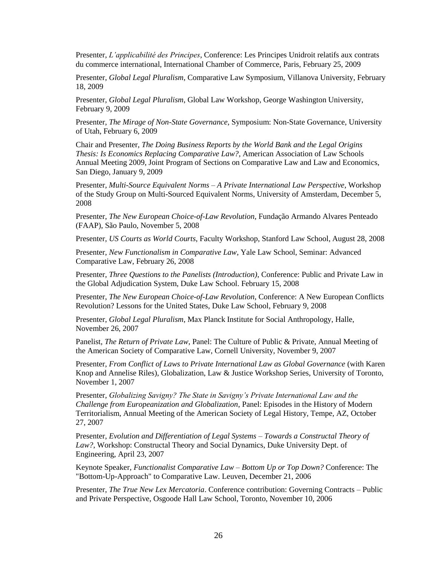Presenter, *L'applicabilité des Principes*, Conference: Les Principes Unidroit relatifs aux contrats du commerce international, International Chamber of Commerce, Paris, February 25, 2009

Presenter, *Global Legal Pluralism*, Comparative Law Symposium, Villanova University, February 18, 2009

Presenter, *Global Legal Pluralism*, Global Law Workshop, George Washington University, February 9, 2009

Presenter, *The Mirage of Non-State Governance*, Symposium: Non-State Governance, University of Utah, February 6, 2009

Chair and Presenter, *The Doing Business Reports by the World Bank and the Legal Origins Thesis: Is Economics Replacing Comparative Law?*, American Association of Law Schools Annual Meeting 2009, Joint Program of Sections on Comparative Law and Law and Economics, San Diego, January 9, 2009

Presenter, *Multi-Source Equivalent Norms – A Private International Law Perspective*, Workshop of the Study Group on Multi-Sourced Equivalent Norms, University of Amsterdam, December 5, 2008

Presenter, *The New European Choice-of-Law Revolution*, Fundação Armando Alvares Penteado (FAAP), São Paulo, November 5, 2008

Presenter, *US Courts as World Courts*, Faculty Workshop, Stanford Law School, August 28, 2008

Presenter, *New Functionalism in Comparative Law*, Yale Law School, Seminar: Advanced Comparative Law, February 26, 2008

Presenter, *Three Questions to the Panelists (Introduction)*, Conference: Public and Private Law in the Global Adjudication System, Duke Law School. February 15, 2008

Presenter, *The New European Choice-of-Law Revolution*, Conference: A New European Conflicts Revolution? Lessons for the United States, Duke Law School, February 9, 2008

Presenter, *Global Legal Pluralism*, Max Planck Institute for Social Anthropology, Halle, November 26, 2007

Panelist, *The Return of Private Law*, Panel: The Culture of Public & Private, Annual Meeting of the American Society of Comparative Law, Cornell University, November 9, 2007

Presenter, *From Conflict of Laws to Private International Law as Global Governance* (with Karen Knop and Annelise Riles), Globalization, Law & Justice Workshop Series, University of Toronto, November 1, 2007

Presenter, *Globalizing Savigny? The State in Savigny's Private International Law and the Challenge from Europeanization and Globalization*, Panel: Episodes in the History of Modern Territorialism, Annual Meeting of the American Society of Legal History, Tempe, AZ, October 27, 2007

Presenter, *Evolution and Differentiation of Legal Systems – Towards a Constructal Theory of Law?*, Workshop: Constructal Theory and Social Dynamics, Duke University Dept. of Engineering, April 23, 2007

Keynote Speaker, *Functionalist Comparative Law – Bottom Up or Top Down?* Conference: The "Bottom-Up-Approach" to Comparative Law. Leuven, December 21, 2006

Presenter, *The True New Lex Mercatoria*. Conference contribution: Governing Contracts – Public and Private Perspective, Osgoode Hall Law School, Toronto, November 10, 2006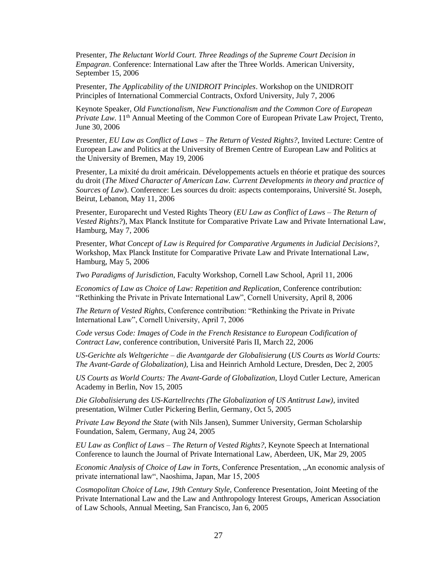Presenter, *The Reluctant World Court. Three Readings of the Supreme Court Decision in Empagran*. Conference: International Law after the Three Worlds. American University, September 15, 2006

Presenter, *The Applicability of the UNIDROIT Principles*. Workshop on the UNIDROIT Principles of International Commercial Contracts, Oxford University, July 7, 2006

Keynote Speaker, *Old Functionalism, New Functionalism and the Common Core of European Private Law.* 11<sup>th</sup> Annual Meeting of the Common Core of European Private Law Project, Trento, June 30, 2006

Presenter, *EU Law as Conflict of Laws – The Return of Vested Rights?*, Invited Lecture: Centre of European Law and Politics at the University of Bremen Centre of European Law and Politics at the University of Bremen, May 19, 2006

Presenter, La mixité du droit américain. Développements actuels en théorie et pratique des sources du droit (*The Mixed Character of American Law. Current Developments in theory and practice of Sources of Law*). Conference: Les sources du droit: aspects contemporains, Université St. Joseph, Beirut, Lebanon, May 11, 2006

Presenter, Europarecht und Vested Rights Theory (*EU Law as Conflict of Laws – The Return of Vested Rights?*), Max Planck Institute for Comparative Private Law and Private International Law, Hamburg, May 7, 2006

Presenter, *What Concept of Law is Required for Comparative Arguments in Judicial Decisions?*, Workshop, Max Planck Institute for Comparative Private Law and Private International Law, Hamburg, May 5, 2006

*Two Paradigms of Jurisdiction*, Faculty Workshop, Cornell Law School, April 11, 2006

*Economics of Law as Choice of Law: Repetition and Replication*, Conference contribution: "Rethinking the Private in Private International Law", Cornell University, April 8, 2006

*The Return of Vested Rights*, Conference contribution: "Rethinking the Private in Private International Law", Cornell University, April 7, 2006

*Code versus Code: Images of Code in the French Resistance to European Codification of Contract Law*, conference contribution, Université Paris II, March 22, 2006

*US-Gerichte als Weltgerichte – die Avantgarde der Globalisierung* (*US Courts as World Courts: The Avant-Garde of Globalization),* Lisa and Heinrich Arnhold Lecture, Dresden, Dec 2, 2005

*US Courts as World Courts: The Avant-Garde of Globalization*, Lloyd Cutler Lecture, American Academy in Berlin, Nov 15, 2005

*Die Globalisierung des US-Kartellrechts (The Globalization of US Antitrust Law)*, invited presentation, Wilmer Cutler Pickering Berlin, Germany, Oct 5, 2005

*Private Law Beyond the State* (with Nils Jansen), Summer University, German Scholarship Foundation, Salem, Germany, Aug 24, 2005

*EU Law as Conflict of Laws – The Return of Vested Rights?*, Keynote Speech at International Conference to launch the Journal of Private International Law, Aberdeen, UK, Mar 29, 2005

*Economic Analysis of Choice of Law in Torts,* Conference Presentation, "An economic analysis of private international law", Naoshima, Japan, Mar 15, 2005

*Cosmopolitan Choice of Law, 19th Century Style,* Conference Presentation, Joint Meeting of the Private International Law and the Law and Anthropology Interest Groups, American Association of Law Schools, Annual Meeting, San Francisco, Jan 6, 2005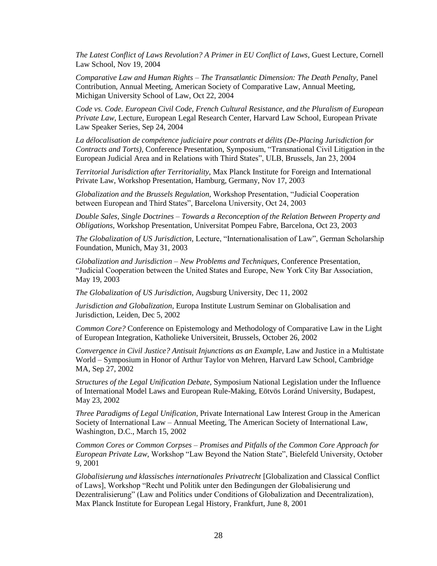*The Latest Conflict of Laws Revolution? A Primer in EU Conflict of Laws*, Guest Lecture, Cornell Law School, Nov 19, 2004

*Comparative Law and Human Rights – The Transatlantic Dimension: The Death Penalty,* Panel Contribution, Annual Meeting, American Society of Comparative Law, Annual Meeting, Michigan University School of Law, Oct 22, 2004

*Code vs. Code. European Civil Code, French Cultural Resistance, and the Pluralism of European Private Law,* Lecture, European Legal Research Center, Harvard Law School, European Private Law Speaker Series, Sep 24, 2004

*La délocalisation de compétence judiciaire pour contrats et délits (De-Placing Jurisdiction for Contracts and Torts),* Conference Presentation, Symposium, "Transnational Civil Litigation in the European Judicial Area and in Relations with Third States", ULB, Brussels, Jan 23, 2004

*Territorial Jurisdiction after Territoriality,* Max Planck Institute for Foreign and International Private Law, Workshop Presentation, Hamburg, Germany, Nov 17, 2003

*Globalization and the Brussels Regulation,* Workshop Presentation, "Judicial Cooperation between European and Third States", Barcelona University, Oct 24, 2003

*Double Sales, Single Doctrines – Towards a Reconception of the Relation Between Property and Obligations,* Workshop Presentation, Universitat Pompeu Fabre, Barcelona, Oct 23, 2003

*The Globalization of US Jurisdiction,* Lecture, "Internationalisation of Law", German Scholarship Foundation, Munich, May 31, 2003

*Globalization and Jurisdiction – New Problems and Techniques,* Conference Presentation, "Judicial Cooperation between the United States and Europe, New York City Bar Association, May 19, 2003

*The Globalization of US Jurisdiction,* Augsburg University, Dec 11, 2002

*Jurisdiction and Globalization,* Europa Institute Lustrum Seminar on Globalisation and Jurisdiction, Leiden, Dec 5, 2002

*Common Core?* Conference on Epistemology and Methodology of Comparative Law in the Light of European Integration, Katholieke Universiteit, Brussels, October 26, 2002

*Convergence in Civil Justice? Antisuit Injunctions as an Example,* Law and Justice in a Multistate World – Symposium in Honor of Arthur Taylor von Mehren, Harvard Law School, Cambridge MA, Sep 27, 2002

*Structures of the Legal Unification Debate,* Symposium National Legislation under the Influence of International Model Laws and European Rule-Making, Eötvös Loránd University, Budapest, May 23, 2002

*Three Paradigms of Legal Unification,* Private International Law Interest Group in the American Society of International Law – Annual Meeting, The American Society of International Law, Washington, D.C., March 15, 2002

*Common Cores or Common Corpses – Promises and Pitfalls of the Common Core Approach for European Private Law,* Workshop "Law Beyond the Nation State", Bielefeld University, October 9, 2001

*Globalisierung und klassisches internationales Privatrecht* [Globalization and Classical Conflict of Laws], Workshop "Recht und Politik unter den Bedingungen der Globalisierung und Dezentralisierung" (Law and Politics under Conditions of Globalization and Decentralization), Max Planck Institute for European Legal History, Frankfurt, June 8, 2001